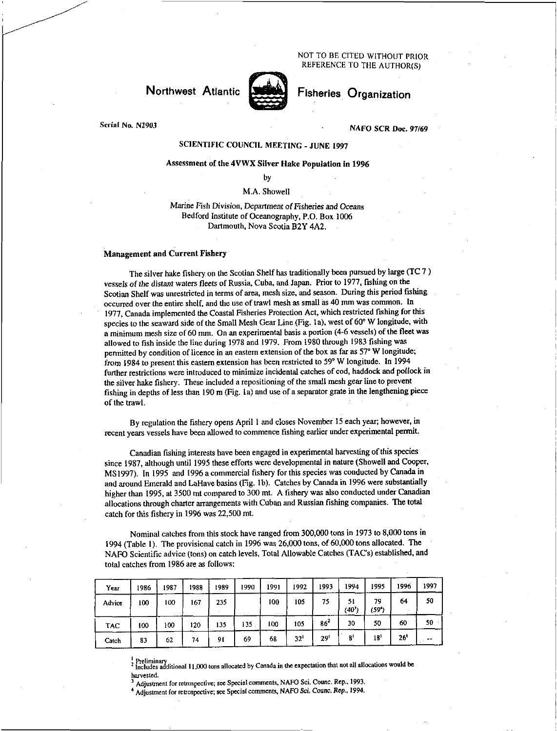NOT TO BE CITED WITHOUT PRIOR REFERENCE TO THE AUTHOR(S)

# **Northwest** Atlantic



Fisheries Organization

Serial No. N2903

NAFO SCR Doc. 97/69

# SCIENTIFIC COUNCIL MEETING - JUNE 1997

# Assessment of the 4VWX Silver Hake Population in 1996

by

M.A. Showell

Marine Fish Division, Department of *Fisheries and Oceans*  Bedford Institute of Oceanography, P.O. Box 1006 Dartmouth, Nova Scotia B2Y 4A2.

### Management and Current Fishery

The silver hake fishery on the Scotian Shelf has traditionally been pursued by large (TC 7 ) vessels *of the distant* waters fleets of Russia, Cuba, and Japan. Prior to 1977, fishing on the Scotian Shelf was unrestricted in terms of area, mesh size, and season. During this period fishing occurred over the entire shelf, and the use of trawl mesh as small as 40 mm was common. In 1977, Canada implemented the Coastal Fisheries Protection Act, which restricted fishing for this species to the seaward side of the Small Mesh Gear Line (Fig. la), west of 60° W longitude, with a *minimum* mesh size of 60 mm. On an experimental basis a portion (4-6 vessels) of the fleet was allowed to fish inside the line during 1978 and 1979. From 1980 through 1983 fishing was permitted by condition of licence in an eastern extension of the box as far as 57° W longitude; from 1984 to present this eastern extension has been restricted to 59° W longitude. In 1994 further restrictions were introduced to minimize incidental catches of cod, haddock and pollock in the silver hake fishery. These included a repositioning of the small mesh gear line to prevent fishing in depths of less than 190 m (Fig. la) and use of a separator grate in the lengthening piece of the trawl.

By regulation the fishery opens April I and closes November 15 each year; however, in recent years vessels have been allowed to commence fishing earlier under experimental permit.

Canadian fishing interests have been engaged in experimental harvesting of this species since 1987, although until 1995 these efforts were developmental in nature (Showell and Cooper, MS 1997). In 1995 and 1996 a commercial fishery for this species was conducted by Canada in and around Emerald and LaHave basins (Fig. lb). Catches by Canada in 1996 were substantially higher than 1995, at 3500 mt compared to 300 mt. A fishery was also conducted under Canadian allocations through charter arrangements with Cuban and Russian fishing companies. The total catch for this fishery in 1996 was 22,500 mt.

Nominal catches from this stock have ranged from 300,000 tons in 1973 to 8,000 tons in 1994 (Table 1). The provisional catch in 1996 was 26,000 tons, of 60,000 tons allocated. The NAFO Scientific advice (tons) on catch levels, Total Allowable Catches (TAC's) established, and total catches from 1986 are as follows:

| Year       | 1986 | 1987 | 1988 | 1989 | 1990    | 1991 | 1992         | 1993            | 1994        | 1995        | 1996 | 1997 |
|------------|------|------|------|------|---------|------|--------------|-----------------|-------------|-------------|------|------|
| Advice     | 100  | 100  | 167  | 235  |         | 100  | 105          | 75              | 51<br>(40') | 79<br>(59*) | 64   | 50   |
| <b>TAC</b> | 100  | 100  | 120  | 135  | $135 -$ | 100  | 105          | 86 <sup>2</sup> | 30          | 50          | 60   | 50   |
| Catch      | 83   | 62   | 74   | 91   | 69      | 68   | $32^{\circ}$ | ا29             | 8'          | 18'         | 26'  | --   |

2 Preliminary 1- Includes additional 11,000 tons allocated by Canada in the expectation that not all allocations would be harvested.

Adjustment for retrospective; see Special comments, NAFO Sci. Counc. Rep., 1993.

4 Adjustment for retrospective; see Special comments, NAFO Sci. *Counc. Rep.. 1994*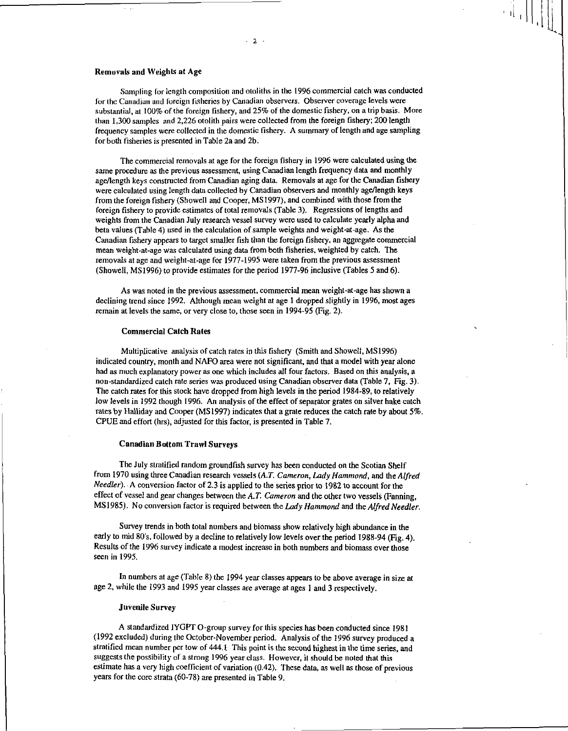### **Removals and Weights at Age**

Sampling for length composition and otoliths in the 1996 commercial catch was conducted for the Canadian and foreign fisheries by Canadian observers. Observer coverage levels were substantial, at 100% of the foreign fishery, and 25% of the domestic fishery, on a trip basis. More than 1,300 samples and 2,226 otolith pairs were collected from the foreign fishery; 200 length frequency samples were collected in the domestic fishery. A summary of length and age sampling for both fisheries is presented in Table 2a and 2b.

The commercial removals at age for the foreign fishery in 1996 were calculated using the same procedure as the previous assessment, using Canadian length frequency data and monthly age/length keys constructed from Canadian aging data. Removals at age for the Canadian fishery were calculated using length data collected by Canadian observers and monthly age/length keys from the foreign fishery (Showell and Cooper, MS1997), and combined with those from the foreign fishery to provide estimates of total removals (Table 3). Regressions of lengths and weights from the Canadian July research vessel survey were used to calculate yearly alpha and beta values (Table 4) used in the calculation of sample weights and weight-at-age. As the Canadian fishery appears to target smaller fish than the foreign fishery, an aggregate commercial mean weight-at-age was calculated using data from both fisheries, weighted by catch. The removals at age and weight-at-age for 1977-1995 were taken from the previous assessment (Showell, MSI996) to provide estimates for the period 1977-96 inclusive (Tables 5 and 6).

As was noted in the previous assessment, commercial mean weight-at-age has shown a declining trend since 1992. Although mean weight at age **I** dropped slightly in 1996, most ages remain at levels the same, or very close to, those seen in 1994-95 (Fig. 2).

#### **Commercial Catch Rates**

Multiplicative analysis of catch rates in this fishery (Smith and Showell, MS1996) indicated country, month and NAFO area were not significant, and that a model with year alone had as much explanatory power as one which includes all four factors. Based on this analysis, a non-standardized catch rate series was produced using Canadian observer data (Table 7, Fig. 3). The catch rates for this stock have dropped from high levels in the period 1984-89, to relatively low levels in 1992 though 1996. An analysis of the effect of separator grates on silver hake catch rates by Halliday and Cooper (MS 1997) indicates that a grate reduces the catch rate by about 5%. CPUE and effort (hrs), adjusted for this factor, is presented in Table 7.

### **Canadian Bottom Trawl Surveys**

The July stratified random groundfish survey has been conducted on the Scotian Shelf from 1970 using three Canadian research vessels *(A.T. Cameron, Lady Hammond,* and the *Alfred Needier).* A conversion factor of 2.3 is applied to the series prior to 1982 to account for the effect of vessel and gear changes between the A. *T. Cameron* and the other two vessels (Fanning, MS 1985). No conversion factor is required between the *Lady Hammond* and the *Alfred Needier.* 

Survey trends in both total numbers and biomass show relatively high abundance in the early to mid 80's, followed by a decline to relatively low levels over the period 1988-94 (Fig. 4). Results of the 1996 survey indicate a modest increase in both numbers and biomass over those seen in 1995.

In numbers at age (Table 8) the 1994 year classes appears to be above average in size at age 2, while the 1993 and 1995 year classes are average at ages 1 and 3 respectively.

### **Juvenile Survey**

A standardized IYGFT 0-group survey for this species has been conducted since 1981 (1992 excluded) during the October-November period. Analysis of the 1996 survey produced a stratified mean number per tow of 444.1 This point is the second highest in the time series, and suggests the possibility of a strong 1996 year class. However, it should be noted that this estimate has a very high coefficient of variation (0.42). These data, as well as those of previous years for the core strata (60-78) are presented in Table 9.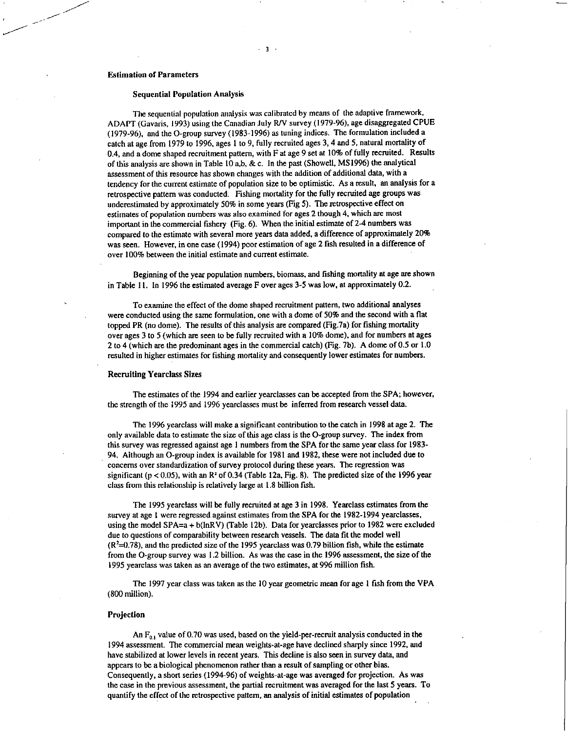### Estimation of Parameters

### Sequential Population Analysis

The sequential population analysis was calibrated by means of the adaptive framework, ADAPT (Gavaris, 1993) using the Canadian July RN survey (1979-96), age disaggregated CPUE (1979-96), and the 0-group survey (1983-1996) as tuning indices. The formulation included a catch at age from 1979 to 1996, ages 1 to 9, fully recruited ages 3, 4 and 5, natural mortality of 0.4, and a dome shaped recruitment pattern, with F at age 9 set at 10% of fully recruited. Results of this analysis are shown in Table 10 a,b, & c. In the past (Showell, MS 1996) the analytical assessment of this resource has shown changes with the addition of additional data, with a tendency for the current estimate of population size to be optimistic. As a result, an analysis for a retrospective pattern was conducted. Fishing mortality for the fully recruited age groups was underestimated by approximately 50% in some years (Fig 5). The retrospective effect on estimates of population numbers was also examined for ages 2 though 4, which are most important in the commercial fishery (Fig. 6). When the initial estimate of 2-4 numbers was compared to the estimate with several more years data added, a difference of approximately 20% was seen. However, in one case (1994) poor estimation of age 2 fish resulted in a difference of over 100% between the initial estimate and current estimate.

Beginning of the year population numbers, biomass, and fishing mortality at age are shown in Table I1. In 1996 the estimated average F over ages 3-5 was low, at approximately 0.2.

To examine the effect of the dome shaped recruitment pattern, two additional analyses were conducted using the same formulation, one with a dome of 50% and the second with a flat topped PR (no dome). The results of this analysis are compared (Fig.7a) for fishing mortality over ages 3 to 5 (which are seen to be fully recruited with a 10% dome), and for numbers at ages 2 to 4 (which are the predominant ages in the commercial catch) (Fig. 7b). A dome of 0.5 or 1.0 resulted in higher estimates for fishing mortality and consequently lower estimates for numbers.

### Recruiting Yearclass Sizes

The estimates of the 1994 and earlier yearclasses can be accepted from the SPA; however, the strength of the 1995 and 1996 yearclasses must be inferred from research vessel data.

The 1996 yearclass will make a significant contribution to the catch in 1998 at age 2. The only available data to estimate the size of this age class is the 0-group survey. The index from this survey was regressed against age 1 numbers from the SPA for the same year class for 1983- 94. Although an 0-group index is available for 1981 and 1982, these were not included due to concerns over standardization of survey protocol during these years. The regression was significant ( $p < 0.05$ ), with an  $R<sup>2</sup>$  of 0.34 (Table 12a, Fig. 8). The predicted size of the 1996 year class from this relationship is relatively large at 1.8 billion fish.

The 1995 yearclass will be fully recruited at age 3 in 1998. Yearclass estimates from the survey at age 1 were regressed against estimates from the SPA for the 1982-1994 yearclasses, using the model SPA=a + b(InRV) (Table 12b). Data for yearclasses prior to 1982 were excluded due to questions of comparability between research vessels. The data fit the model well  $(R<sup>2</sup>=0.78)$ , and the predicted size of the 1995 yearclass was 0.79 billion fish, while the estimate from the 0-group survey was 1.2 billion. As was the case in the 1996 assessment, the size of the 1995 yearclass was taken as an average of the two estimates, at 996 million fish.

The 1997 year class was taken as the 10 year geometric mean for age 1 fish from the VPA (800 million).

#### Projection

An  $F_{0,1}$  value of 0.70 was used, based on the yield-per-recruit analysis conducted in the 1994 assessment. The commercial mean weights-at-age have declined sharply since 1992, and have stabilized at lower levels in recent years. This decline is also seen in survey data, and appears to be a biological phenomenon rather than a result of sampling or other bias. Consequently, a short series (1994-96) of weights-at-age was avenged for projection. As was the case in the previous assessment, the partial recruitment was avenged for the last 5 years. To quantify the effect of the retrospective pattern, an analysis of initial estimates of population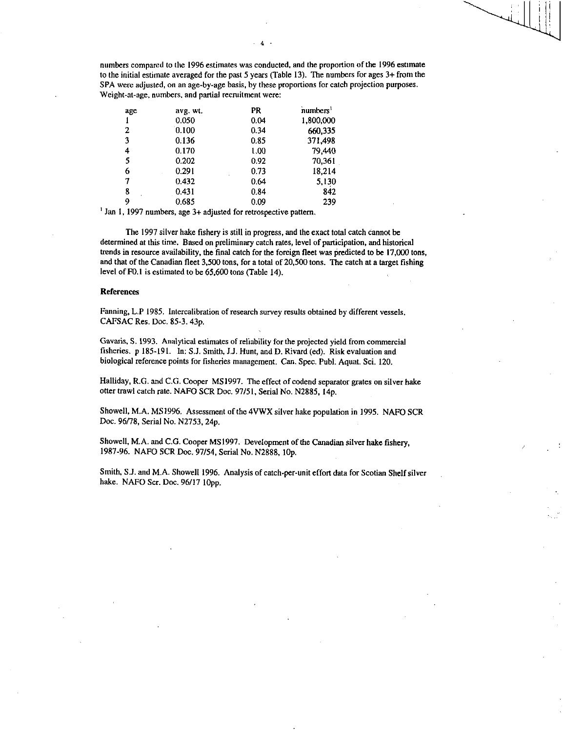numbers compared to the 1996 estimates was conducted, and the proportion of the 1996 estimate to the initial estimate averaged for the past 5 years (Table 13). The numbers for ages 3+ from the SPA were adjusted, on an age-by-age basis, by these proportions for catch projection purposes. Weight-at-age, numbers, and partial recruitment were:

| age | avg. wt. | PR   | numbers <sup>1</sup> |
|-----|----------|------|----------------------|
|     | 0.050    | 0.04 | 1,800,000            |
| 2   | 0.100    | 0.34 | 660,335              |
| 3   | 0.136    | 0.85 | 371,498              |
| 4   | 0.170    | 1,00 | 79,440               |
| 5   | 0.202    | 0.92 | 70.361               |
| 6   | 0.291    | 0.73 | 18,214               |
| 7   | 0.432    | 0.64 | 5,130                |
| 8   | 0.431    | 0.84 | 842                  |
| 9   | 0.685    | 0.09 | 239                  |

' Jan 1, 1997 numbers, age 3+ adjusted for retrospective pattern.

The 1997 silver hake fishery is still in progress, and the exact total catch cannot be determined at this time. Based on preliminary catch rates, level of participation, and historical trends in resource availability, the final catch for the foreign fleet was predicted to be 17,000 tons, and that of the Canadian fleet 3,500 tons, for a total of 20,500 tons. The catch at a target fishing level of F0.1 is estimated to be 65,600 tons (Table 14).

#### References

Fanning, L.P 1985. Intercalibration of research survey results obtained by different vessels. CAFSAC Res. Doc. 85-3.43p.

Gavaris, S. 1993. Analytical estimates of reliability for the projected yield from commercial fisheries. p 185-191. In: S.J. Smith, J.J. Hunt, and D. Rivard (ed). Risk evaluation and biological reference points for fisheries management. Can. Spec. Publ. Aquat. Sci. 120.

Halliday, R.G. and C.G. Cooper MS 1997. The effect of codend separator grates on silver hake otter trawl catch rate. NAFO SCR Doc. 97/51, Serial No. N2885, 14p.

Showell, M.A. MS 1996. Assessment of the 4VWX silver hake population in 1995. NAFO SCR Doc. 96/78, Serial No. N2753, 24p.

Showell, M.A. and C.G. Cooper MS1997. Development of the Canadian silver hake fishery, 1987-96. NAFO SCR Doc. 97/54, Serial No. N2888, 10p.

Smith, S.J. and M.A. Showell 1996. Analysis of catch-per-unit effort data for Scotian Shelf silver hake. NAFO Scr. Doc. 96/17 lOpp.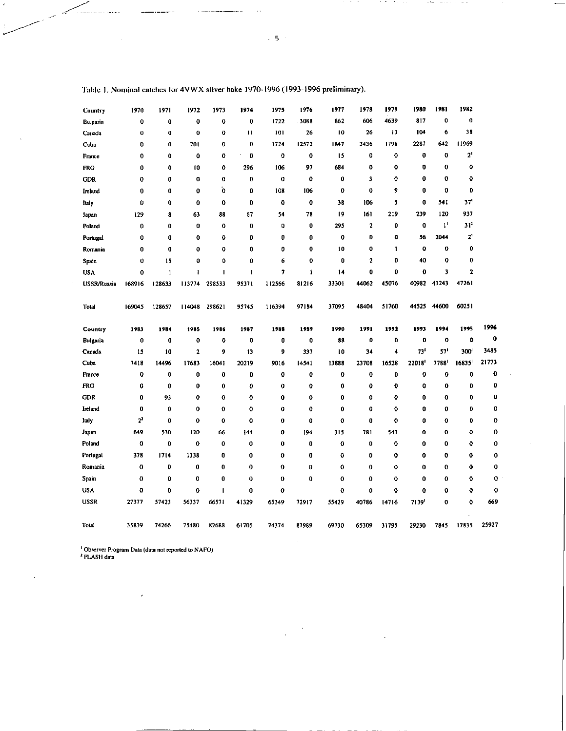| Country            | 1970           | 1971        | 1972        | 1973         | 1974          | 1975   | 1976         | 1977        | 1978             | 1979    | 1980        | 1981           | 1982             |          |
|--------------------|----------------|-------------|-------------|--------------|---------------|--------|--------------|-------------|------------------|---------|-------------|----------------|------------------|----------|
| Bulgaria           | 0              | 0           | $\bf{0}$    | 0            | 0             | 1722   | 3088         | 862         | 606              | 4639    | 817         | 0              | 0                |          |
| Canada             | 0              | $\bf{0}$    | $\mathbf 0$ | Ü            | п             | 101    | 26           | 10          | 26               | 13      | 104         | 6              | 38               |          |
| Cuba               | 0              | 0           | 201         | 0            | $\bf{0}$      | 1724   | 12572        | 1847        | 3436             | 1798    | 2287        | 642            | 11969            |          |
| France             | 0              | 0           | 0           | 0            | ٠<br>$\bf{0}$ | 0      | 0            | 15          | $\boldsymbol{0}$ | 0       | $\mathbf 0$ | 0              | 2 <sup>1</sup>   |          |
| <b>FRG</b>         | 0              | 0           | 10          | 0            | 296           | 106    | 97           | 684         | 0                | 0       | 0           | 0              | 0                |          |
| <b>GDR</b>         | 0              | 0           | 0           | 0            | 0             | 0      | o            | $\bf{0}$    | 3                | 0       | 0           | $\mathbf 0$    | 0                |          |
| Ireland            | $\bf{0}$       | $\bf{0}$    | 0           | Ò            | 0             | 108    | 106          | 0           | $\bf{0}$         | 9       | 0           | $\bf{0}$       | 0                |          |
| ital y             | 0              | $\bf{0}$    | 0           | 0            | $\bf{0}$      | 0      | $\bf{0}$     | 38          | 106              | 5       | $\bf{0}$    | 541            | 37'              |          |
| Japan              | 129            | 8           | 63          | 88           | 67            | 54     | 78           | 19          | 161              | 219     | 239         | 120            | 937              |          |
| Poland             | 0              | 0           | 0           | $\mathbf 0$  | 0             | 0      | $\bf{0}$     | 295         | $\mathbf{2}$     | 0       | 0           | 1 <sup>1</sup> | 31 <sup>2</sup>  |          |
| Portugal           | 0              | 0           | 0           | 0            | 0             | 0      | 0            | 0           | 0                | 0       | 56          | 2044           | 2 <sup>1</sup>   |          |
| Romania            | $\bf{0}$       | 0           | $\bf{0}$    | 0            | 0             | 0      | 0            | 10          | 0                | 1       | $\mathbf 0$ | 0              | 0                |          |
| Spain              | $\bf{0}$       | 15          | 0           | 0            | $\mathbf 0$   | 6      | $\bf{0}$     | $\mathbf 0$ | $\mathbf{z}$     | 0       | 40          | 0              | 0                |          |
| <b>USA</b>         | 0              | 1           | ı           | I            | 1             | 7      | $\mathbf{I}$ | 14          | 0                | 0       | $\mathbf 0$ | 3              | 2                |          |
| <b>USSR/Russia</b> | 168916         | 128633      | 113774      | 293533       | 95371         | 112566 | 81216        | 33301       | 44062            | 45076   | 40982       | 41243          | 47261            |          |
|                    |                |             |             |              |               |        |              |             |                  |         |             |                |                  |          |
| <b>Total</b>       | 169045         | 128657      | 114048      | 298621       | 95745         | 116394 | 97184        | 37095       | 48404            | 51760   | 44525       | 44600          | 60251            |          |
|                    |                |             |             |              |               |        |              |             |                  |         |             |                |                  |          |
| Country            | 1983           | 1984        | 1985        | 1986         | 1987          | 1988   | 1989         | 1990        | 1991             | 1992    | 1993        | 1994           | 1995             | 1996     |
| Bulgaria           | 0              | $\mathbf 0$ | 0           | 0            | 0             | 0      | 0            | 88          | 0                | 0       | 0           | O              | 0                | $\bf{0}$ |
| Canada             | 15             | 10          | 2           | 9            | 13            | 9      | 337          | 10          | 34               | 4       | 73'         | 57'            | 300 <sup>1</sup> | 3485     |
| Cuba               | 7418           | 14496       | 17683       | 16041        | 20219         | 9016   | 14541        | 13888       | 23708            | 16528   | 22018       | 7788           | 16835            | 21773    |
| France             | 0              | 0           | 0           | 0            | 0             | 0      | 0            | $\bf{0}$    | $\mathbf 0$      | 0       | 0           | 0              | 0                | 0        |
| <b>FRG</b>         | 0              | 0           | 0           | 0            | $\pmb{0}$     | 0      | 0            | 0           | $\bf{0}$         | 0       | 0           | 0              | 0                | $\bf{0}$ |
| <b>GDR</b>         | $\bf{0}$       | 93          | $\mathbf 0$ | 0            | 0             | 0      | 0            | $\mathbf 0$ | $\mathbf 0$      | 0       | 0           | 0              | 0                | 0        |
| lieland            | 0              | 0           | $\mathbf 0$ | $\bf{0}$     | 0             | 0      | 0            | 0           | 0                | 0       | 0           | 0              | 0                | 0        |
| ltaly              | 2 <sup>2</sup> | 0           | 0           | $\mathbf 0$  | 0             | 0      | 0            | 0           | 0                | 0       | 0           | 0              | 0                | 0        |
| Japan              | 649            | 530         | 120         | 66           | 144           | 0      | 194          | 315         | 781              | 547     | $\mathbf o$ | 0              | 0                | 0        |
| Poland             | 0              | 0           | 0           | $\mathbf 0$  | 0             | 0      | 0            | 0           | 0                | 0       | $\mathbf 0$ | 0              | 0                | 0        |
| Portugal           | 378            | 1714        | 1338        | $\bf{0}$     | 0             | 0      | $\mathbf 0$  | 0           | $\mathbf{0}$     | 0       | $\mathbf 0$ | $\mathbf 0$    | 0                | 0        |
|                    |                |             |             |              |               | 0      | 0            | 0           | $\bf{0}$         | $\bf o$ | $\bf{0}$    | 0              | 0                | 0        |
| Romania            | $\bf{0}$       | 0           | 0           | $\bf{0}$     | 0             |        |              |             |                  |         |             |                |                  |          |
| Spain              | $\bf{0}$       | 0           | 0           | $\bf{0}$     | 0             | O      | 0            | 0           | 0                | 0       | $\mathbf 0$ | 0              | 0                | 0        |
| <b>USA</b>         | 0              | 0           | 0           | $\mathbf{I}$ | 0             | 0      |              | 0           | 0                | 0       | $\mathbf 0$ | 0              | 0                | 0        |
| <b>USSR</b>        | 27377          | 57423       | 56337       | 66571        | 41329         | 65349  | 72917        | 55429       | 40786            | 14716   | 7139        | 0              | 0                | 669      |
| Total              | 35839          | 74266       | 75480       | 82688        | 61705         | 74374  | 87989        | 69730       | 65309            | 31795   | 29230       | 7845           | 17835            | 25927    |

Table I. Nominal catches for 4VWX silver hake 1970-1996 (1993-1996 preliminary).

 $- -$ 

 $\ddotsc$ 

 $\sim$  444

 $\bar{z}$ 

Observer Program Data (data not reported to NAFO) FLASH data

 $\cdot$ 

 $\sim$  5  $^{-1}$ 

 $\overline{\phantom{a}}$ 

 $\sim$  $\mathcal{A}$  , and  $\mathcal{A}$   $\sim$  500  $-$  000  $\sim$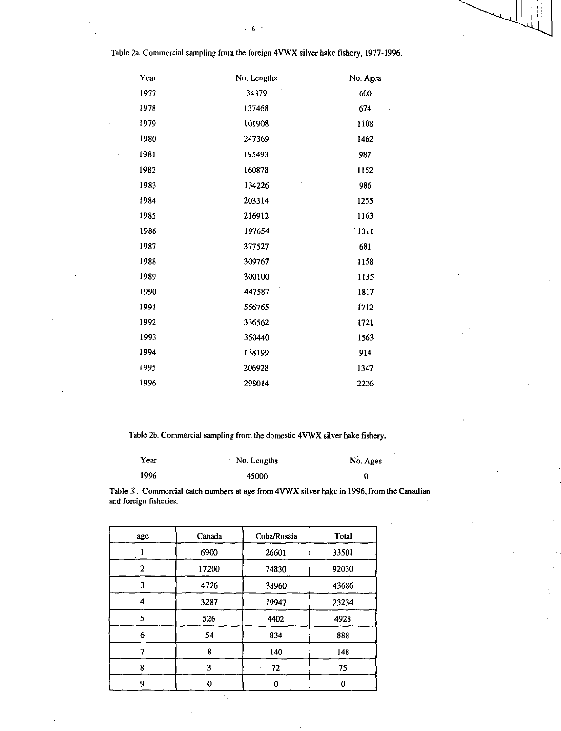Table 2a. Commercial sampling from the foreign 4VWX silver hake fishery, 1977-1996.

| Year | No. Lengths   | No. Ages      |
|------|---------------|---------------|
| 1977 | To G<br>34379 | 600           |
| 1978 | 137468        | 674           |
| 1979 | 101908        | 1108          |
| 1980 | 247369        | 1462          |
| 1981 | 195493        | 987           |
| 1982 | 160878        | 1152          |
| 1983 | 134226        | 986           |
| 1984 | 203314        | 1255          |
| 1985 | 216912        | 1163          |
| 1986 | 197654        | $\lceil$ 1311 |
| 1987 | 377527        | 681           |
| 1988 | 309767        | 1158          |
| 1989 | 300100        | 1135          |
| 1990 | 447587        | 1817          |
| 1991 | 556765        | 1712          |
| 1992 | 336562        | 1721          |
| 1993 | 350440        | 1563          |
| 1994 | 138199        | 914           |
| 1995 | 206928        | 1347          |
| 1996 | 298014        | 2226          |

Table 2b. Commercial sampling from the domestic 4VWX silver hake fishery.

| Year | No. Lengths | No. Ages |
|------|-------------|----------|
| 1996 | 45000       |          |

Table 3. Commercial catch numbers at age from 4VWX silver hake in 1996, from the Canadian and foreign fisheries.

| age | Canada   | Cuba/Russia | Total |  |
|-----|----------|-------------|-------|--|
|     | 6900     | 26601       | 33501 |  |
| 2   | 17200    | 74830       | 92030 |  |
| 3   | 4726     | 38960       | 43686 |  |
| 4   | 3287     | 19947       | 23234 |  |
| 5   | 526      | 4402        | 4928  |  |
| 6   | 54       | 834         | 888   |  |
|     | 8        | 140         | 148   |  |
| 8   | 3        | 72          | 75    |  |
| g   | $\theta$ | 0           |       |  |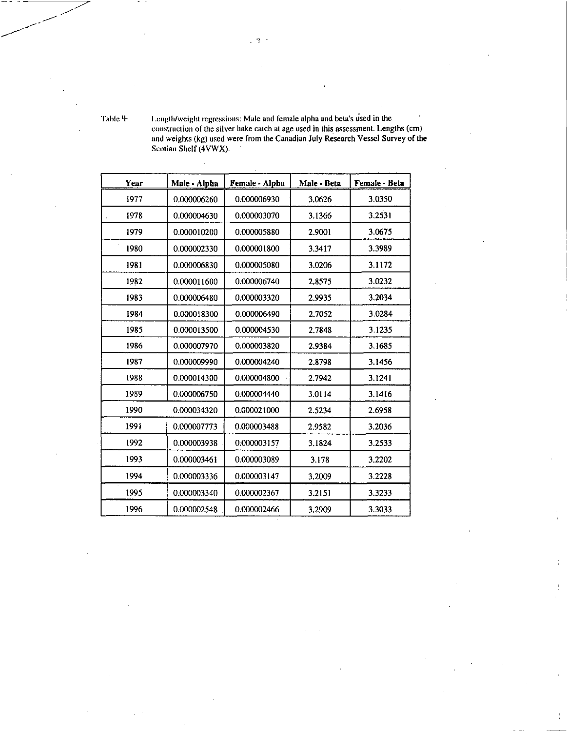Table  $4$  I .ength/weight regressions: Male and female alpha and beta's used in the construction of the silver hake catch at age used in this assessment. Lengths (cm) and weights (kg) used were from the Canadian July Research Vessel Survey of the Scotian Shelf (4VWX).

| Year | Male - Alpha | Female - Alpha | Male - Beta | Female - Beta |
|------|--------------|----------------|-------------|---------------|
| 1977 | 0.000006260  | 0.000006930    | 3.0626      | 3.0350        |
| 1978 | 0.000004630  | 0.000003070    | 3.1366      | 3.2531        |
| 1979 | 0.000010200  | 0.000005880    | 2.9001      | 3.0675        |
| 1980 | 0.000002330  | 0.000001800    | 3.3417      | 3.3989        |
| 1981 | 0.000006830  | 0.000005080    | 3.0206      | 3.1172        |
| 1982 | 0.000011600  | 0.000006740    | 2.8575      | 3.0232        |
| 1983 | 0.000006480  | 0.000003320    | 2.9935      | 3.2034        |
| 1984 | 0.000018300  | 0.000006490    | 2.7052      | 3.0284        |
| 1985 | 0.000013500  | 0.000004530    | 2.7848      | 3.1235        |
| 1986 | 0.000007970  | 0.000003820    | 2.9384      | 3.1685        |
| 1987 | 0.000009990  | 0.000004240    | 2.8798      | 3.1456        |
| 1988 | 0.000014300  | 0.000004800    | 2.7942      | 3.1241        |
| 1989 | 0.000006750  | 0.000004440    | 3.0114      | 3.1416        |
| 1990 | 0.000034320  | 0.000021000    | 2.5234      | 2.6958        |
| 1991 | 0.000007773  | 0.000003488    | 2.9582      | 3.2036        |
| 1992 | 0.000003938  | 0.000003157    | 3.1824      | 3.2533        |
| 1993 | 0.000003461  | 0.000003089    | 3.178       | 3.2202        |
| 1994 | 0.000003336  | 0.000003147    | 3.2009      | 3.2228        |
| 1995 | 0.000003340  | 0.000002367    | 3.2151      | 3.3233        |
| 1996 | 0.000002548  | 0.000002466    | 3.2909      | 3.3033        |

 $.7$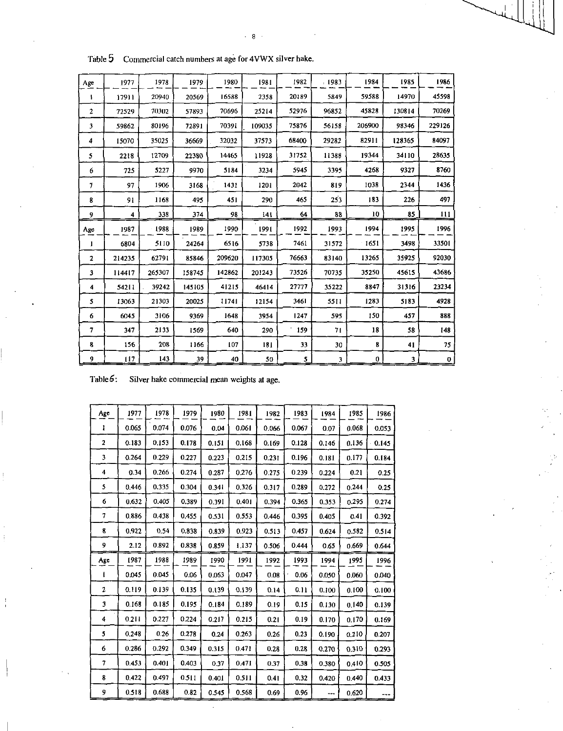| Table 5      |        |        |        | Commercial catch numbers at age for 4VWX silver hake. |        |       |        |        |        |        |
|--------------|--------|--------|--------|-------------------------------------------------------|--------|-------|--------|--------|--------|--------|
| Age          | 1977   | 1978   | 1979   | 1980                                                  | 1981   | 1982  | , 1983 | 1984   | 1985   | 1986   |
| ۰            | 17911  | 20940  | 20569  | 16588                                                 | 2358   | 20189 | 5849   | 59588  | 14970  | 45598  |
| $\mathbf{2}$ | 72529  | 70302  | 57893  | 70696                                                 | 25214  | 52976 | 96852  | 45828  | 130814 | 70269  |
| 3            | 59862  | 80196  | 72891  | 70391                                                 | 109035 | 75876 | 56158  | 206900 | 98346  | 229126 |
| 4            | 15070  | 35025  | 36669  | 32032                                                 | 37573  | 68400 | 29282  | 82911  | 128365 | 84097  |
| 5            | 2218   | 12709  | 22380  | 14465                                                 | 11928  | 31752 | 11388  | 19344  | 34110  | 28635  |
| 6            | 725    | 5227   | 9970   | 5184                                                  | 3234   | 5945  | 3395   | 4268   | 9327   | 8760   |
| 7            | 97     | 1906   | 3168   | 1431                                                  | 1201   | 2042  | 819    | 1038   | 2344   | 1436   |
| R            | 91     | 1168   | 495    | 451                                                   | 290    | 465   | 253    | 183    | 226    | 497    |
| 9            | 4      | 338    | 374    | 98                                                    | 141    | 64    | 88     | 10     | 85     | 111    |
| Age          | 1987   | 1988   | 1989   | 1990                                                  | 1991   | 1992  | 1993   | 1994   | 1995   | 1996   |
| 1            | 6804   | 5110   | 24264  | 6516                                                  | 5738   | 7461  | 31572  | 1651   | 3498   | 33501  |
| $\mathbf{2}$ | 214235 | 62791  | 85846  | 209620                                                | 117305 | 76663 | 83140  | 13265  | 35925  | 92030  |
| 3            | 114417 | 265307 | 158745 | 142862                                                | 201243 | 73526 | 70735  | 35250  | 45615  | 43686  |
| 4            | 54211  | 39242  | 145105 | 41215                                                 | 46414  | 27777 | 35222  | 8847   | 31316  | 23234  |
|              |        |        |        |                                                       |        |       |        |        |        |        |
| 5            | 13063  | 21303  | 20025  | 11741                                                 | 12154  | 3461  | 5511   | 1283   | 5183   | 4928   |
| 6            | 6045   | 3106   | 9369   | 1648                                                  | 3954   | 1247  | 595    | 150    | 457    | 888    |
| 7            | 347    | 2133   | 1569   | 640                                                   | 290    | 159   | 71     | 18     | 58     | 148    |
| 8            | 156    | 208    | 1166   | 107                                                   | 181    | 33    | 30     | 8      | 41     | 75     |

Table 5 Commercial catch numbers at age for 4VWX silver hake.

Table 6: Silver hake commercial mean weights at age.

| Age            | 1977  | 1978  | 1979  | 1980  | 1981  | 1982  | 1983  | 1984  | 1985  | 1986  |
|----------------|-------|-------|-------|-------|-------|-------|-------|-------|-------|-------|
| 1              | 0.065 | 0.074 | 0.076 | 0.04  | 0.061 | 0.066 | 0.067 | 0.07  | 0.068 | 0.053 |
| $\mathbf{2}$   | 0.183 | 0.153 | 0.178 | 0.151 | 0.168 | 0.169 | 0.128 | 0.146 | 0.136 | 0.145 |
| 3              | 0.264 | 0.229 | 0.227 | 0.223 | 0.215 | 0.231 | 0.196 | 0.181 | 0.177 | 0.184 |
| 4              | 0.34  | 0.266 | 0.274 | 0.287 | 0.276 | 0.275 | 0.239 | 0.224 | 0.21  | 0.25  |
| 5              | 0.446 | 0.335 | 0.304 | 0.341 | 0.326 | 0.317 | 0.289 | 0.272 | 0.244 | 0.25  |
| 6              | 0.632 | 0.405 | 0.389 | 0.391 | 0401  | 0.394 | 0.365 | 0.353 | 0.295 | 0.274 |
| 7              | 0.886 | 0.438 | 0.455 | 0.531 | 0.553 | 0.446 | 0.395 | 0.405 | 0.41  | 0.392 |
| 8              | 0.922 | 0.54  | 0.838 | 0.839 | 0.923 | 0.513 | 0.457 | 0.624 | 0.582 | 0.514 |
| 9              | 2.12  | 0.892 | 0.838 | 0.859 | 1.137 | 0.506 | 0.444 | 0.65  | 0.669 | 0.644 |
|                |       |       |       |       |       |       |       |       |       |       |
| Age            | 1987  | 1988  | 1989  | 1990  | 1991  | 1992  | 1993  | 1994  | 1995  | 1996  |
|                | 0.045 | 0.045 | 0.06  | 0.063 | 0.047 | 0.08  | 0.06  | 0.050 | 0.060 | 0.040 |
| $\overline{2}$ | 0.119 | 0.139 | 0.135 | 0.139 | 0.139 | 0.14  | 0.11  | 0.100 | 0.100 | 0.100 |
| 3              | 0.168 | 0.185 | 0.195 | 0.184 | 0.189 | 0.19  | 0.15  | 0.130 | 0.140 | 0.139 |
| 4              | 0.211 | 0.227 | 0.224 | 0.217 | 0.215 | 0.21  | 0.19  | 0.170 | 0.170 | 0.169 |
| 5              | 0.248 | 0.26  | 0.278 | 0.24  | 0.263 | 0.26  | 0.23  | 0.190 | 0.210 | 0.207 |
| 6              | 0.286 | 0.292 | 0.349 | 0.315 | 0.471 | 0.28  | 0.28  | 0.270 | 0.310 | 0.293 |
| 7              | 0.453 | 0.401 | 0.403 | 0.37  | 0.471 | 0.37  | 0.38  | 0.380 | 0.410 | 0.505 |
| 8              | 0.422 | 0.497 | 0.511 | 0.401 | 0.511 | 0.41  | 0.32  | 0.420 | 0.440 | 0.433 |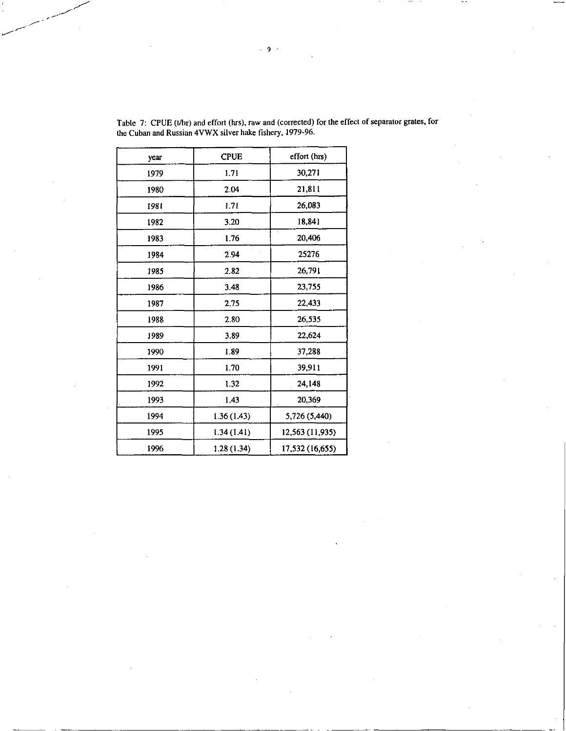| year | <b>CPUE</b> | effort (hrs)    |
|------|-------------|-----------------|
| 1979 | 1.71        | 30,271          |
| 1980 | 2.04        | 21,811          |
| 1981 | 1.71        | 26,083          |
| 1982 | 3.20        | 18,841          |
| 1983 | 176         | 20,406          |
| 1984 | 294         | 25276           |
| 1985 | 282         | 26,791          |
| 1986 | 3.48        | 23,755          |
| 1987 | 2.75        | 22,433          |
| 1988 | 2.80        | 26,535          |
| 1989 | 3.89        | 22,624          |
| 1990 | 1.89        | 37,288          |
| 1991 | 1.70        | 39,911          |
| 1992 | 1.32        | 24,148          |
| 1993 | 1.43        | 20,369          |
| 1994 | 1.36(1.43)  | 5,726 (5,440)   |
| 1995 | 1.34(1.41)  | 12,563 (11,935) |
| 1996 | 1.28 (1.34) | 17,532 (16,655) |

Table 7: CPUE (t/hr) and effort (hrs), raw and (corrected) for the effect of separator grates, for the Cuban and Russian 4VWX silver hake fishery, 1979-96.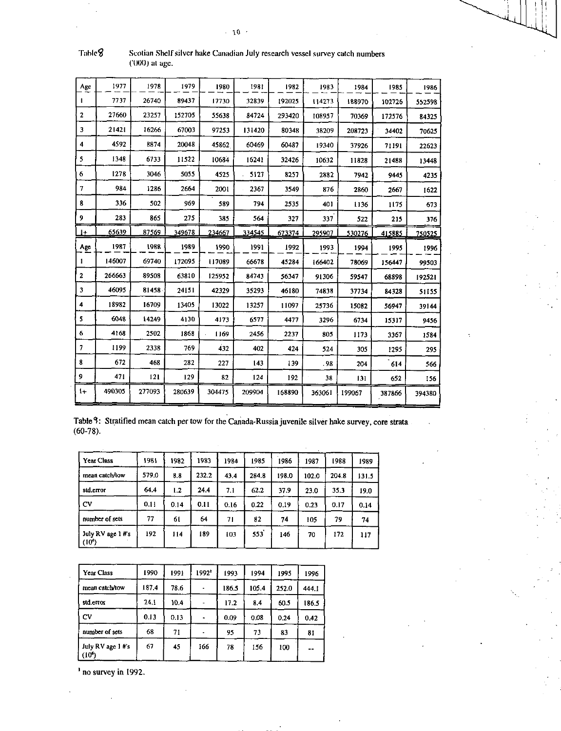| Age                     | 1977   | 1978   | 1979   | 1980   | 1981   | 1982   | 1983   | 1984   | 1985   | 1986   |
|-------------------------|--------|--------|--------|--------|--------|--------|--------|--------|--------|--------|
|                         | 7737   | 26740  | 89437  | 17730  | 32839  | 192025 | 114273 | 188970 | 102726 | 552598 |
| $\overline{2}$          | 27660  | 23257  | 152705 | 55638  | 34724  | 293420 | 108957 | 70369  | 172576 | 84325  |
| $\overline{\mathbf{3}}$ | 21421  | 16266  | 67003  | 97253  | 131420 | 80348  | 38209  | 208723 | 34402  | 70625  |
| 4                       | 4592   | 8874   | 20048  | 45862  | 60469  | 60487  | 19340  | 37926  | 71191  | 22623  |
| 5                       | 1348   | 6733   | 11522  | 10684  | 16241  | 32426  | 10632  | 11828  | 21488  | 13448  |
| 6                       | 1278   | 3046   | 5055   | 4525   | 5127   | 8257   | 2882   | 7942   | 9445   | 4235   |
| 7                       | 984    | 1286   | 2664   | 2001   | 2367   | 3549   | 876    | 2860   | 2667   | 1622   |
| 8                       | 336    | 502    | 969    | 589    | 794    | 2535   | 401    | 1136   | 1175   | 673    |
| 9                       | 283    | 865    | 275    | 385    | 564    | 327    | 337    | 522    | 215    | 376    |
| 1ŧ.                     | 65639  | 87569  | 349678 | 234667 | 334545 | 673374 | 295907 | 530276 | 415885 | 750525 |
| Age                     | 1987   | 1988   | 1989   | 1990   | 1991   | 1992   | 1993   | 1994   | 1995   | 1996   |
| 1                       | 146007 | 69740  | 172095 | 117089 | 66678  | 45284  | 166402 | 78069  | 156447 | 99503  |
| $\mathbf{2}$            | 266663 | 89508  | 63810  | 125952 | 84743  | 56347  | 91306  | 59547  | 68898  | 192521 |
| 3                       | 46095  | 81458  | 24151  | 42329  | 35293  | 46180  | 74838  | 37734  | 84328  | 51155  |
| 4                       | 18982  | 16709  | 13405  | 13022  | 13257  | 11097  | 25736  | 15082  | 56947  | 39144  |
| 5                       | 6048   | 14249  | 4130   | 4173   | 6577   | 4477   | 3296   | 6734   | 15317  | 9456   |
| 6                       | 4168   | 2502   | 1868   | 1169   | 2456   | 2237   | 805    | 1173   | 3367   | 1584   |
| 7                       | 1199   | 2338   | 769    | 432    | 402    | 424    | 524    | 305    | 1295   | 295    |
| 8                       | 672    | 468    | 282    | 227    | 143    | 139    | .98    | 204    | 614    | 566    |
| 9                       | 471    | 121    | 129    | 82     | 124    | 192    | 38     | 131    | 652    | 156    |
| $_{1+}$                 | 490305 | 277093 | 280639 | 304475 | 209904 | 168890 | 363061 | 199067 | 387866 | 394380 |
|                         |        |        |        |        |        |        |        |        |        |        |

Table 8 Scotian Shelf silver hake Canadian July research vessel survey catch numbers ('000) at age.

|             |  | Table 9: Stratified mean catch per tow for the Canada-Russia juvenile silver hake survey, core strata |  |
|-------------|--|-------------------------------------------------------------------------------------------------------|--|
| $(60-78)$ . |  |                                                                                                       |  |

l.

| Year Class                    | 1981  | 1982 | 1983  | 1984 | 1985  | 1986  | 1987  | 1988  | 1989  |
|-------------------------------|-------|------|-------|------|-------|-------|-------|-------|-------|
| mean catch/tow                | 579.0 | 8.8  | 232.2 | 43.4 | 284.8 | 198.0 | 102.0 | 204.8 | 131.5 |
| std.error                     | 64.4  | 1.2  | 24.4  | 71   | 62.2  | 37.9  | 23.0  | 35.3  | 19.0  |
| CV                            | 0.11  | 0.14 | 0.11  | 0.16 | 0.22  | 0.19  | 0.23  | 0.17  | 0.14  |
| number of sets                | 77    | 61   | 64    | 71   | 82    | 74    | 105   | 79    | 74    |
| July RV age 1 #'s<br>$(10^6)$ | 192   | 114  | 189   | 103  | 553   | 146   | 70    | 172   | 117   |

 $\ddot{\phantom{a}}$ 

| <b>Year Class</b>                       | 1990  | 1991 | 1992'          | 1993  | 1994  | 1995  | 1996  |
|-----------------------------------------|-------|------|----------------|-------|-------|-------|-------|
| mean catch/tow                          | 187.4 | 78.6 |                | 186.5 | 105.4 | 252.0 | 444.1 |
| std.error                               | 24.1  | 10.4 | -              | 17.2  | 8.4   | 60.5  | 186.5 |
| CV                                      | 0.13  | 0.13 | $\blacksquare$ | 0.09  | 0.08  | 0.24  | 0.42  |
| number of sets                          | 68    | 71   |                | 95    | 73    | 83    | 81    |
| July RV age 1 #'s<br>(10 <sup>6</sup> ) | 67    | 45   | 166            | 78    | 156   | 100   | --    |

' no survey in 1992.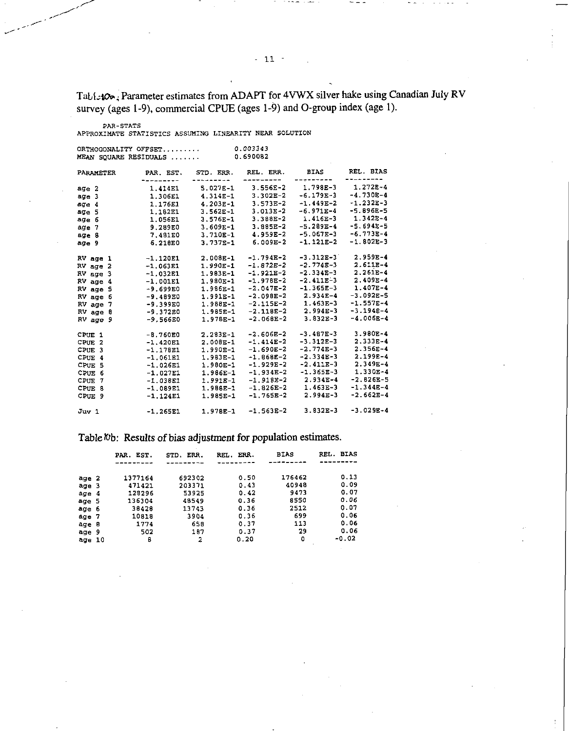Tabiz100; Parameter estimates from ADAPT for 4VWX silver hake using Canadian July RV survey (ages 1-9), commercial CPUE (ages 1-9) and 0-group index (age 1).

PAR-STATS APPROXIMATE STATISTICS ASSUMING LINEARITY NEAR SOLUTION

|                                                                                                                      | ORTHOGONALITY OFFSET<br>MEAN SOUARE RESIDUALS                                                                              |                                                                                                                            | 0.003343<br>0.690082                                                                                                                |                                                                                                                                  |                                                                                                                                      |
|----------------------------------------------------------------------------------------------------------------------|----------------------------------------------------------------------------------------------------------------------------|----------------------------------------------------------------------------------------------------------------------------|-------------------------------------------------------------------------------------------------------------------------------------|----------------------------------------------------------------------------------------------------------------------------------|--------------------------------------------------------------------------------------------------------------------------------------|
| PARAMETER                                                                                                            | PAR. EST.                                                                                                                  | STD. ERR.                                                                                                                  | REL. ERR.                                                                                                                           | <b>BIAS</b>                                                                                                                      | REL. BIAS<br><b>.</b>                                                                                                                |
| age 2<br>age 3<br>age 4<br>age 5<br>age 6<br>age 7<br>age 8<br>age 9                                                 | 1.414E1<br>1.306E1<br>1.176E1<br>1.182E1<br>1.056E1<br>9.289E0<br>7 481E0<br>6.218E0                                       | --------<br>$5.027E-1$<br>$4.314E-1$<br>$4.203E-1$<br>$3.562E - 1$<br>$3.576E - 1$<br>$3.609E-1$<br>3.710E-1<br>$3.737E-1$ | --------<br>$3.556E - 2$<br>$3.302E-2$<br>$3.573E - 2$<br>$3.013E-2$<br>3.388E-2<br>3.885E-2<br>$4.959E-2$<br>$6.009E-2$            | ---------<br>$1.798E-3$<br>$-6.179E-3$<br>$-1.449E-2$<br>$-6.971E-4$<br>$1.416E-3$<br>$-5.289E-4$<br>$-5.067E-3$<br>$-1.121E-2$  | $1.272E-4$<br>$-4.730E-4$<br>$-1.232E-3$<br>$-5.896E - 5$<br>$1.342E - 4$<br>$-5.694E - 5$<br>$-6.773E-4$<br>$-1.802E-3$             |
| RV age 1<br>$RV$ age $2$<br>RV age 3<br>$RV$ age $4$<br>RV age 5<br>RV age 6<br>RV age 7<br>RV age 8<br>$RV$ age $9$ | $-1.120E1$<br>$-1.063E1$<br>$-1.032E1$<br>$-1.001E1$<br>$-9.699E0$<br>$-9.489E0$<br>$-9.399E0$<br>$-9.372E0$<br>$-9.566E0$ | 2.008E-1<br>$1.990E-1$<br>$1.983E-1$<br>1.980E-1<br>1.986E-1<br>1.991E-1<br>1.988E-1<br>1.985E-1<br>1.978E-1               | $-1.794E-2$<br>$-1.872E-2$<br>$-1.921E-2$<br>$-1.978E-2$<br>$-2.047E-2$<br>$-2.098E-2$<br>$-2.115E-2$<br>$-2.118E-2$<br>$-2.068E-2$ | $-3.312E-3$<br>$-2.774E-3$<br>$-2.334E-3$<br>$-2.411E-3$<br>$-1.365E-3$<br>$2.934E-4$<br>$1.463E-3$<br>$2.994E-3$<br>$3.832E-3$  | $2.959E - 4$<br>$2.611E-4$<br>$2.261E-4$<br>$2.409E - 4$<br>$1.407E-4$<br>$-3.092E-5$<br>$-1.557E - 4$<br>$-3.194E-4$<br>$-4.006E-4$ |
| CPUE 1<br>CPUE <sub>2</sub><br>CPUE 3<br>CPUE 4<br>CPUE 5<br>CPUE <sub>6</sub><br>CPUE 7<br>CPUE 8<br>CPUE 9         | $-8.760E0$<br>$-1.420E1$<br>$-1.178E1$<br>$-1.061E1$<br>$-1.026E1$<br>$-1.027E1$<br>$-1.038E1$<br>$-1.089E1$<br>$-1.124E1$ | $2.283E-1$<br>2.008E-1<br>$1.990E-1$<br>$1.983E-1$<br>1.980E-1<br>1.986E-1<br>$1.991E-1$<br>1.988E-1<br>1.985E-1           | $-2.606E-2$<br>$-1.414E-2$<br>$-1.690E-2$<br>$-1.868E-2$<br>$-1.929E-2$<br>$-1.934E-2$<br>$-1.918E-2$<br>$-1.826E-2$<br>$-1.765E-2$ | $-3.487E-3$<br>$-3.312E-3$<br>$-2.774E-3$<br>$-2.334E-3$<br>$-2.411E-3$<br>$-1.365E-3$<br>$2.934E-4$<br>$1.463E-3$<br>$2.994E-3$ | 3.980E-4<br>$2,333E-4$<br>$2.356E - 4$<br>$2.199E-4$<br>$2.349E - 4$<br>$1.330E - 4$<br>$-2.826E - 5$<br>$-1.344E-4$<br>$-2.662E-4$  |
| Juv 1                                                                                                                | $-1.265E1$                                                                                                                 | $1.978E-1$                                                                                                                 | $-1.563E-2$                                                                                                                         | $3.832E-3$                                                                                                                       | $-3.029E - 4$                                                                                                                        |

Table  $\%$ b: Results of bias adjustment for population estimates.

|        | EST.<br>PAR. | ERR.<br>STD. | ERR.<br>REL. | <b>BIAS</b> | REL. BIAS |
|--------|--------------|--------------|--------------|-------------|-----------|
| age 2  | 1377164      | 692302       | 0.50         | 176462      | 0.13      |
| age 3  | 471421       | 203371       | 0.43         | 40948       | 0.09      |
| age 4  | 128296       | 53925        | 0.42         | 9473        | 0.07      |
| age 5  | 136304       | 48549        | 0.36         | 8550        | 0.06      |
| age 6  | 38428        | 13743        | 0.36         | 2512        | 0.07      |
| age 7  | 10818        | 3904         | 0.36         | 699         | 0.06      |
| age 8  | 1774         | 658          | 0.37         | 113         | 0.06      |
| age 9  | 502          | 187          | 0.37         | 29          | 0.06      |
| age 10 | 8            | 2            | 0.20         | ٥           | -0.02     |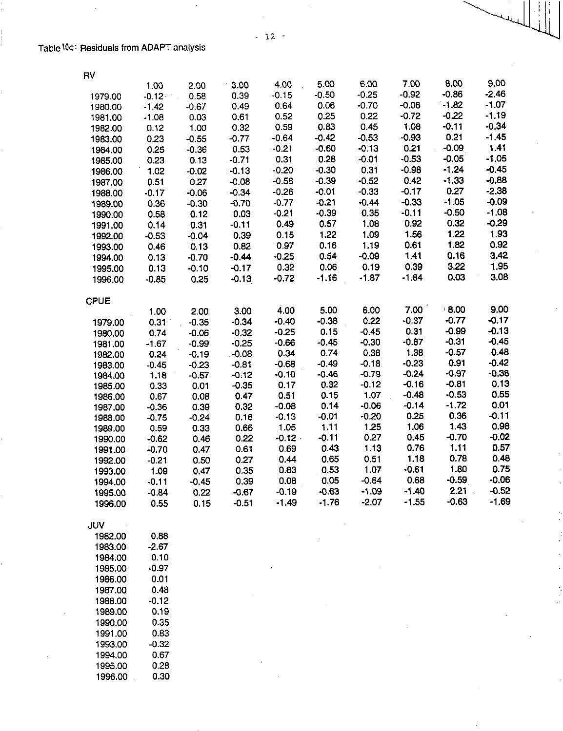| RV          |         |         |         |           |         |         |         |         |         |
|-------------|---------|---------|---------|-----------|---------|---------|---------|---------|---------|
|             | 1.00    | 2.00    | $-3.00$ | 4.00      | 5.00    | 6.00    | 7.00    | 8.00    | 9.00    |
| 1979.00     | $-0.12$ | 0.58    | 0.39    | $-0.15$   | $-0.50$ | $-0.25$ | $-0.92$ | $-0.86$ | $-2.46$ |
| 1980.00     | $-1.42$ | $-0.67$ | 0.49    | 0.64      | 0.06    | $-0.70$ | $-0.06$ | $-1.82$ | $-1.07$ |
| 1981.00     | $-1.08$ | 0.03    | 0.61    | 0.52      | 0.25    | 0.22    | $-0.72$ | $-0.22$ | $-1.19$ |
| 1982.00     | 0.12    | 1.00    | 0.32    | 0.59      | 0.83    | 0.45    | 1.08    | $-0.11$ | $-0.34$ |
| 1983.00     | 0.23    | $-0.55$ | $-0.77$ | $-0.64$   | $-0.42$ | $-0.53$ | $-0.93$ | 0.21    | $-1.45$ |
| 1984.00     | 0.25    | $-0.36$ | 0.53    | $-0.21$   | $-0.60$ | $-0.13$ | 0.21    | $-0.09$ | 1.41    |
| 1985.00     | 0.23    | 0.13    | $-0.71$ | 0.31      | 0.28    | $-0.01$ | $-0.53$ | $-0.05$ | $-1.05$ |
| 1986.00     | 1.02    | $-0.02$ | $-0.13$ | $-0.20$   | $-0.30$ | 0.31    | $-0.98$ | $-1.24$ | $-0.45$ |
| 1987.00     | 0.51    | 0.27    | $-0.08$ | $-0.58$   | $-0.39$ | $-0.52$ | 0.42    | $-1.33$ | $-0.88$ |
| 1988.00     | $-0.17$ | $-0.06$ | $-0.34$ | $-0.26$   | $-0.01$ | $-0.33$ | $-0.17$ | 0.27    | $-2.38$ |
| 1989.00     | 0.36    | $-0.30$ | $-0.70$ | $-0.77$   | $-0.21$ | $-0.44$ | $-0.33$ | $-1.05$ | $-0.09$ |
| 1990.00     | 0.58    | 0.12    | 0.03    | $-0.21$   | $-0.39$ | 0.35    | $-0.11$ | $-0.50$ | $-1.08$ |
| 1991.00     | 0.14    | 0.31    | $-0.11$ | 0.49      | 0.57    | 1.08    | 0.92    | 0.32    | $-0.29$ |
| 1992.00     | $-0.53$ | $-0.04$ | 0.39    | 0.15      | 1.22    | 1.09    | 1.56    | 1.22    | 1.93    |
| 1993.00     | 0.46    | 0.13    | 0.82    | 0.97      | 0.16    | 1.19    | 0.61    | 1.82    | 0.92    |
| 1994.00     | 0.13    | $-0.70$ | $-0.44$ | $-0.25$   | 0.54    | $-0.09$ | 1.41    | 0.16    | 3.42    |
| 1995.00     | 0.13    | $-0.10$ | $-0.17$ | 0.32      | 0.06    | 0.19    | 0.39    | 3.22    | 1.95    |
| 1996.00     | $-0.85$ | 0.25    | $-0.13$ | $-0.72$   | $-1.16$ | $-1.87$ | $-1.84$ | 0.03    | 3.08    |
| <b>CPUE</b> |         |         |         |           |         |         |         |         |         |
|             | 1.00    | 2.00    | 3.00    | 4.00      | 5.00    | 6.00    | 7.00    | 8.00    | 9.00    |
| 1979.00     | 0.31    | $-0.35$ | $-0.34$ | $-0.40$   | $-0.38$ | 0.22    | $-0.37$ | $-0.77$ | $-0.17$ |
| 1980.00     | 0.74    | $-0.06$ | $-0.32$ | $-0.25$   | 0.15    | $-0.45$ | 0.31    | $-0.99$ | $-0.13$ |
| 1981.00     | $-1.67$ | $-0.99$ | $-0.25$ | $-0.66$   | $-0.45$ | $-0.30$ | $-0.87$ | $-0.31$ | $-0.45$ |
| 1982.00     | 0.24    | $-0.19$ | $-0.08$ | 0.34      | 0.74    | 0.38    | 1.38    | $-0.57$ | 0.48    |
| 1983.00     | $-0.45$ | $-0.23$ | $-0.81$ | $-0.68$   | $-0.49$ | $-0.18$ | $-0.23$ | 0.91    | $-0.42$ |
| 1984.00     | 1.18    | $-0.57$ | $-0.12$ | $-0.10$   | $-0.46$ | $-0.79$ | $-0.24$ | $-0.97$ | $-0.38$ |
| 1985.00     | 0.33    | 0.01    | $-0.35$ | 0.17      | 0.32    | $-0.12$ | $-0.16$ | $-0.81$ | 0.13    |
| 1986.00     | 0.67    | 0.08    | 0.47    | 0.51      | 0.15    | 1.07    | $-0.48$ | $-0.53$ | 0.55    |
| 1987.00     | $-0.36$ | 0.39    | 0.32    | $-0.08$   | 0.14    | $-0.06$ | $-0.14$ | $-1.72$ | 0.01    |
| 1988.00     | $-0.75$ | $-0.24$ | 0.16    | $-0.13$   | $-0.01$ | $-0.20$ | 0.25    | 0.36    | $-0.11$ |
| 1989.00     | 0.59    | 0.33    | 0.66    | 1.05      | 1.11    | 1.25    | 1.06    | 1.43    | 0.98    |
| 1990.00     | $-0.62$ | 0.46    | 0.22    | $-0.12 -$ | $-0.11$ | 0.27    | 0.45    | $-0.70$ | $-0.02$ |
| 1991.00     | $-0.70$ | 0.47    | 0.61    | 0.69      | 0.43    | 1.13    | 0.76    | 1.11    | 0.57    |
| 1992.00     | $-0.21$ | 0.50    | 0.27    | 0.44      | 0.65    | 0.51    | 1.18    | 0.78    | 0.48    |
| 1993.00     | 1.09    | 0.47    | 0.35    | 0.83      | 0.53    | 1.07    | $-0.61$ | 1.80    | 0.75    |
| 1994.00     | $-0.11$ | $-0.45$ | 0.39    | 0.08      | 0.05    | $-0.64$ | 0.68    | $-0.59$ | $-0.06$ |
| 1995.00     | $-0.84$ | 0.22    | $-0.67$ | $-0.19$   | $-0.63$ | $-1.09$ | $-1.40$ | 2.21    | $-0.52$ |
| 1996.00     | 0.55    | 0.15    | $-0.51$ | $-1.49$   | $-1.76$ | $-2.07$ | $-1.55$ | $-0.63$ | $-1.69$ |

JUV

| 1982.00 | 0.88  |
|---------|-------|
| 1983.00 | -2.67 |
| 1984.00 | 0.10  |
| 1985.00 | -0.97 |
| 1986.00 | 0.01  |
| 1987.00 | 0.48  |
| 1988.00 | -0.12 |
| 1989.00 | 0.19  |
| 1990.00 | 0.35  |
| 1991.00 | 0.83  |
| 1993.00 | -0.32 |
| 1994.00 | 0.67  |
| 1995.00 | 0.28  |
| 1996.00 | 0.30  |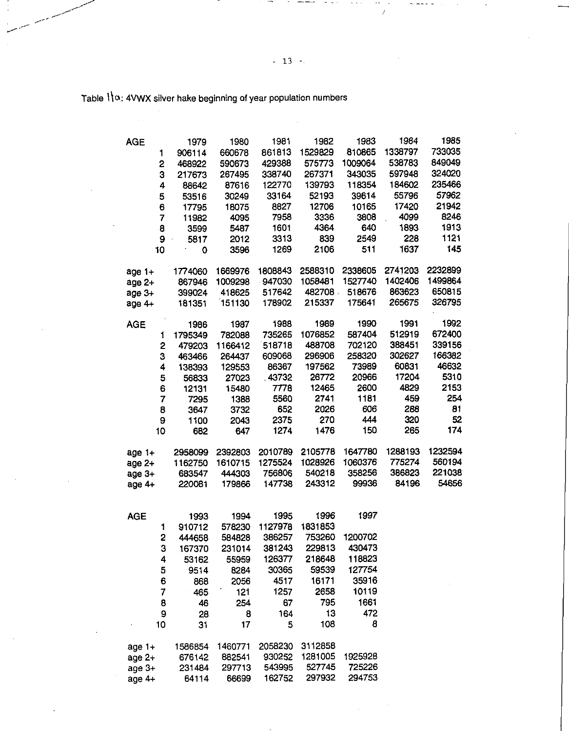Table  $1 \, \alpha$ : 4VWX silver hake beginning of year population numbers

| <b>AGE</b>     | 1979        | 1980    | 1981    | 1982    | 1983    | 1984    | 1985    |
|----------------|-------------|---------|---------|---------|---------|---------|---------|
| 1              | 906114      | 660678  | 861813  | 1529829 | 810865  | 1338797 | 733035  |
| 2              | 468922      | 590673  | 429388  | 575773  | 1009064 | 538783  | 849049  |
| 3              | 217673      | 267495  | 338740  | 267371  | 343035  | 597948  | 324020  |
| 4              | 88642       | 87616   | 122770  | 139793  | 118354  | 184602  | 235466  |
| 5              | 53516       | 30249   | 33164   | 52193   | 39614   | 55796   | 57962   |
| 6              |             | 18075   | 8827    | 12706   | 10165   | 17420   | 21942   |
|                | 17795       |         |         |         | 3808    | 4099    | 8246    |
| $\overline{7}$ | 11982       | 4095    | 7958    | 3336    |         |         |         |
| 8              | 3599        | 5487    | 1601    | 4364    | 640     | 1893    | 1913    |
| 9              | 5817        | 2012    | 3313    | 839     | 2549    | 228     | 1121    |
| 10             | $\mathbf 0$ | 3596    | 1269    | 2106    | 511     | 1637    | 145     |
| age 1+         | 1774060     | 1669976 | 1808843 | 2588310 | 2338605 | 2741203 | 2232899 |
| age 2+         | 867946      | 1009298 | 947030  | 1058481 | 1527740 | 1402406 | 1499864 |
| age 3+         | 399024      | 418625  | 517642  | 482708  | 518676  | 863623  | 650815  |
| age $4+$       | 181351      | 151130  | 178902  | 215337  | 175641  | 265675  | 326795  |
| <b>AGE</b>     | 1986        | 1987    | 1988    | 1989    | 1990    | 1991    | 1992    |
| 1              | 1795349     | 782088  | 735265  | 1076852 | 587404  | 512919  | 672400  |
| 2              | 479203      | 1166412 | 518718  | 488708  | 702120  | 388451  | 339156  |
| 3              | 463466      | 264437  | 609068  | 296906  | 258320  | 302627  | 166382  |
| 4              | 138393      | 129553  | 86367   | 197562  | 73989   | 60831   | 46632   |
| 5              | 56833       | 27023   | 43732   | 26772   | 20966   | 17204   | 5310    |
| 6              | 12131       | 15480   | 7778    | 12465   | 2600    | 4829    | 2153    |
| 7              | 7295        | 1388    | 5560    | 2741    | 1181    | 459     | 254     |
| 8              | 3647        | 3732    | 652     | 2026    | 606     | 288     | 81      |
| 9              | 1100        | 2043    | 2375    | 270     | 444     | 320     | 52      |
|                |             |         | 1274    | 1476    | 150     | 265     | 174     |
| 10             | 682         | 647     |         |         |         |         |         |
| age 1+         | 2958099     | 2392803 | 2010789 | 2105778 | 1647780 | 1288193 | 1232594 |
| age 2+         | 1162750     | 1610715 | 1275524 | 1028926 | 1060376 | 775274  | 560194  |
| age 3+         | 683547      | 444303  | 756806  | 540218  | 358256  | 386823  | 221038  |
| age 4+         | 220081      | 179866  | 147738  | 243312  | 99936   | 84196   | 54656   |
|                |             |         |         |         |         |         |         |
| <b>AGE</b>     | 1993        | 1994    | 1995    | 1996    | 1997    |         |         |
| 1              | 910712      | 578230  | 1127978 | 1831853 |         |         |         |
| 2              | 444658      | 584828  | 386257  | 753260  | 1200702 |         |         |
| 3              | 167370      | 231014  | 381243  | 229813  | 430473  |         |         |
| 4              | 53162       | 55959   | 126377  | 218648  | 118823  |         |         |
|                |             |         |         | 59539   | 127754  |         |         |
| 5              | 9514        | 8284    | 30365   |         |         |         |         |
| 6              | 868         | 2056    | 4517    | 16171   | 35916   |         |         |
| 7              | 465         | 121     | 1257    | 2658    | 10119   |         |         |
| 8              | 46          | 254     | 67      | 795     | 1661    |         |         |
| 9              | 28          | 8       | 164     | 13      | 472     |         |         |
| 10             | 31          | 17      | 5       | 108     | 8       |         |         |
| age 1+         | 1586854     | 1460771 | 2058230 | 3112858 |         |         |         |
| age 2+         | 676142      | 882541  | 930252  | 1281005 | 1925928 |         |         |
| age 3+         | 231484      | 297713  | 543995  | 527745  | 725226  |         |         |
| age 4+         | 64114       | 66699   | 162752  | 297932  | 294753  |         |         |
|                |             |         |         |         |         |         |         |

l.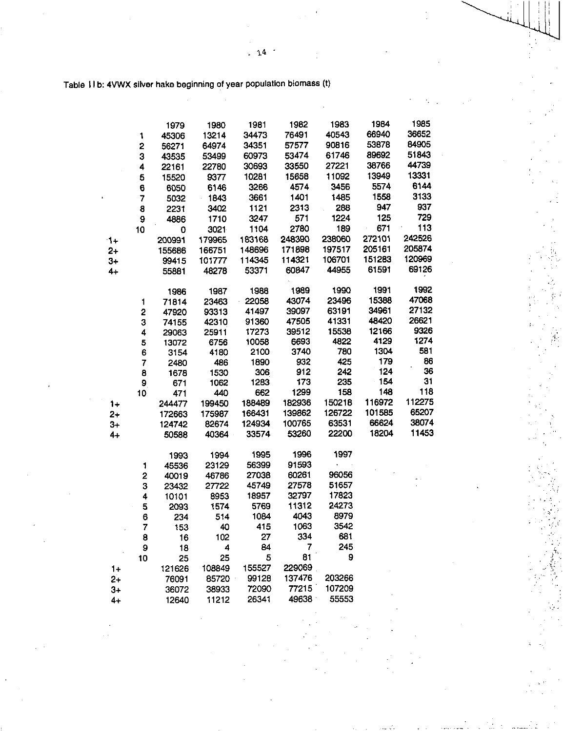Table 11b: 4VWX silver hake beginning of year population biomass (t)

|      |                         | 1979           | 1980           | 1981            | 1982   | 1983   | 1984   | 1985   |
|------|-------------------------|----------------|----------------|-----------------|--------|--------|--------|--------|
|      | 1                       | 45306          | 13214          | 34473           | 76491  | 40543  | 66940  | 36652  |
|      | $\overline{\mathbf{c}}$ | 56271          | 64974          | 34351           | 57577  | 90816  | 53878  | 84905  |
|      | 3                       | 43535          | 53499          | 60973           | 53474  | 61746  | 89692  | 51843  |
|      | 4                       | 22161          | 22780          | 30693           | 33550  | 27221  | 38766  | 44739  |
|      | 5                       | 15520          | 9377           | 10281           | 15658  | 11092  | 13949  | 13331  |
|      | 6                       | 6050           | 6146           | 3266            | 4574   | 3456   | 5574   | 6144   |
|      | 7                       | 5032           | 1843           | 3661            | 1401   | 1485   | 1558   | 3133   |
|      | 8                       | 2231           | 3402           | 1121            | 2313   | 288    | 947    | 937    |
|      | 9                       | 4886           | 1710           | 3247            | 571    | 1224   | 125    | 729    |
|      | 10                      | 0              | 3021           | 1104            | 2780   | 189    | 671    | 113    |
| $1+$ |                         | 200991         | 179965         | 183168          | 248390 | 238060 | 272101 | 242526 |
| $2+$ |                         | 155686         | 166751         | 148696          | 171898 | 197517 | 205161 | 205874 |
| 3+   |                         | 99415          | 101777         | 114345          | 114321 | 106701 | 151283 | 120969 |
| $4+$ |                         | 55881          | 48278          | 53371           | 60847  | 44955  | 61591  | 69126  |
|      |                         |                |                |                 |        |        |        |        |
|      |                         | 1986           | 1987           | 1988            | 1989   | 1990   | 1991   | 1992   |
|      | 1                       | 71814          | 23463          | 22058           | 43074  | 23496  | 15388  | 47068  |
|      | 2                       | 47920          | 93313          | 41497           | 39097  | 63191  | 34961  | 27132  |
|      | 3                       | 74155          | 42310          | 91360           | 47505  | 41331  | 48420  | 26621  |
|      | 4                       | 29063          | 25911          | 17273           | 39512  | 15538  | 12166  | 9326   |
|      | 5                       | 13072          | 6756           | 10058           | 6693   | 4822   | 4129   | 1274   |
|      | 6                       | 3154           | 4180           | 2100            | 3740   | 780    | 1304   | 581    |
|      | 7                       | 2480           | 486            | 1890            | 932    | 425    | 179    | 86     |
|      | 8                       | 1678           | 1530           | 306             | 912    | 242    | 124    | 36     |
|      | 9                       | 671            | 1062           | 1283            | 173    | 235    | 154    | 31     |
|      | 10                      | 471            | 440            | 662             | 1299   | 158    | 148    | 118    |
| 1+   |                         | 244477         | 199450         | 188489          | 182936 | 150218 | 116972 | 112275 |
| 2+   |                         | 172663         | 175987         | 166431          | 139862 | 126722 | 101585 | 65207  |
| $3+$ |                         | 124742         | 82674          | 124934          | 100765 | 63531  | 66624  | 38074  |
| 4+   |                         | 50588          | 40364          | 33574           | 53260  | 22200  | 18204  | 11453  |
|      |                         |                |                | 1995            | 1996   | 1997   |        |        |
|      |                         | 1993           | 1994<br>23129  | 56399           | 91593  |        |        |        |
|      | 1<br>$\overline{2}$     | 45536          |                | 27038           | 60261  | 96056  |        |        |
|      | 3                       | 40019<br>23432 | 46786<br>27722 | 45749           | 27578  | 51657  |        |        |
|      |                         |                | 8953           | 18957           | 32797  | 17823  |        |        |
|      | 4                       | 10101          |                | 5769            | 11312  | 24273  |        |        |
|      | 5                       | 2093           | 1574<br>514    | 1084            | 4043   | 8979   |        |        |
|      | 6                       | 234            | 40             |                 | 1063   | 3542   |        |        |
|      | 7                       | 153            |                | 415<br>27       | 334    | 681    |        |        |
|      | 8<br>9                  | 16             | 102            | 84              | 7      | 245    |        |        |
|      |                         | 18             | 4<br>25        | 5               | 81     | 9      |        |        |
|      | 10                      | 25             |                |                 | 229069 |        |        |        |
| $1+$ |                         | 121626         | 108849         | 155527<br>99128 | 137476 | 203266 |        |        |
| $2+$ |                         | 76091          | 85720          | 72090           | 77215  | 107209 |        |        |
| $3+$ |                         | 36072          | 38933          |                 | 49638  | 55553  |        |        |
| $4+$ |                         | 12640          | 11212          | 26341           |        |        |        |        |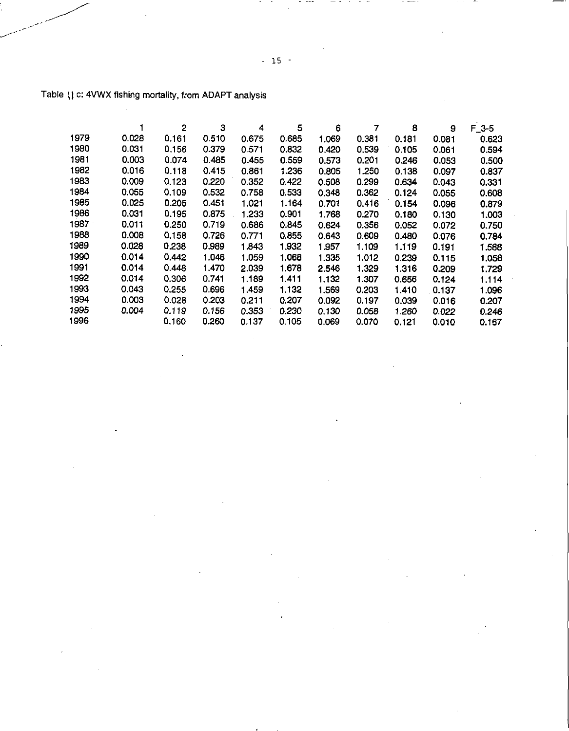|      |       | 2     | 3     | 4     | 5     | 6     | 7     | 8     | 9     | $F_3-5$ |
|------|-------|-------|-------|-------|-------|-------|-------|-------|-------|---------|
| 1979 | 0.028 | 0.161 | 0.510 | 0.675 | 0.685 | 1.069 | 0.381 | 0.181 | 0.081 | 0.623   |
| 1980 | 0.031 | 0.156 | 0.379 | 0.571 | 0.832 | 0.420 | 0.539 | 0.105 | 0.061 | 0.594   |
| 1981 | 0.003 | 0.074 | 0.485 | 0.455 | 0.559 | 0.573 | 0.201 | 0.246 | 0.053 | 0.500   |
| 1982 | 0.016 | 0.118 | 0.415 | 0.861 | 1.236 | 0.805 | 1.250 | 0.138 | 0.097 | 0.837   |
| 1983 | 0.009 | 0.123 | 0.220 | 0.352 | 0.422 | 0.508 | 0.299 | 0.634 | 0.043 | 0.331   |
| 1984 | 0.055 | 0.109 | 0.532 | 0.758 | 0.533 | 0.348 | 0.362 | 0.124 | 0.055 | 0.608   |
| 1985 | 0.025 | 0.205 | 0.451 | 1.021 | 1.164 | 0.701 | 0.416 | 0.154 | 0.096 | 0.879   |
| 1986 | 0.031 | 0.195 | 0.875 | 1.233 | 0.901 | 1.768 | 0.270 | 0.180 | 0.130 | 1.003   |
| 1987 | 0.011 | 0.250 | 0.719 | 0.686 | 0.845 | 0.624 | 0.356 | 0.052 | 0.072 | 0.750   |
| 1988 | 0.008 | 0.158 | 0.726 | 0.771 | 0.855 | 0.643 | 0.609 | 0.480 | 0.076 | 0.784   |
| 1989 | 0.028 | 0.238 | 0.989 | 1.843 | 1.932 | 1.957 | 1.109 | 1.119 | 0.191 | 1.588   |
| 1990 | 0.014 | 0.442 | 1.046 | 1.059 | 1.068 | 1.335 | 1.012 | 0.239 | 0.115 | 1.058   |
| 1991 | 0.014 | 0.448 | 1.470 | 2.039 | 1.678 | 2.546 | 1.329 | 1.316 | 0.209 | 1.729   |
| 1992 | 0.014 | 0.306 | 0.741 | 1.189 | 1.411 | 1.132 | 1.307 | 0.656 | 0.124 | 1.114   |
| 1993 | 0.043 | 0.255 | 0.696 | 1.459 | 1.132 | 1.569 | 0.203 | 1.410 | 0.137 | 1.096   |
| 1994 | 0.003 | 0.028 | 0.203 | 0.211 | 0.207 | 0.092 | 0.197 | 0.039 | 0.016 | 0.207   |
| 1995 | 0.004 | 0.119 | 0.156 | 0.353 | 0.230 | 0.130 | 0.058 | 1.260 | 0.022 | 0.246   |
| 1996 |       | 0.160 | 0.260 | 0.137 | 0.105 | 0.069 | 0.070 | 0.121 | 0.010 | 0.167   |

# Table \} c: 4VWX fishing mortality, from ADAPT analysis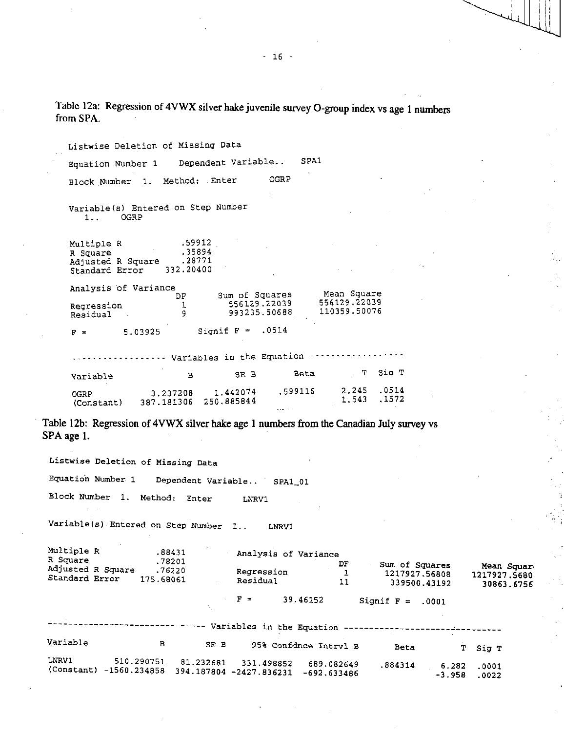Table 12a: Regression of 4VWX silver hake juvenile survey 0-group index vs age 1 numbers from SPA.

Listwise Deletion of Missing Data Equation Number 1 Dependent Variable.. SPA1 Block Number 1. Method: Enter OGRP Variable(s) Entered on Step Number 1.. OGRP Multiple R .59912<br>R Square .35894 R Square .35894<br>Adjusted R Square .28771 Adjusted R Square .28771<br>Standard Error 332.20400 Standard Error Analysis of Variance  $\mathcal{D}_{\mathbf{1}}^{\mathbf{F}}$ Regression 1<br>Residual 9 Residual 9 Sum of Squares 556129.22039 993235.50688 Mean Square 556129.22039 110359.50076  $F =$  5.03925 Signif  $F = .0514$ Variables in the Equation --- Variable B SE B Beta T Sig T .599116 2.245 .0514<br>1572. 1.543 .1572 0GRP 3.237208 1.442074 .599116 2.245 .0514<br>(Constant) 387.181306 250.885844 1.543 .1572

Table 12b: Regression of 4VWX silver hake age 1 numbers from the Canadian July survey vs SPA age 1.

Listwise Deletion of Missing Data

Equation Number 1 Dependent Variable.. SPA1\_01

Block Number 1. Method: Enter LNRV1

Variable(s) Entered on Step Number 1.. LNRV1

| Multiple R<br>R Square<br>Adjusted R Square<br>Standard Error |                | 175.68061  | .88431<br>.78201<br>.76220 | Regression<br>Residual                | Analysis of Variance  | DF<br>11   | Sum of Squares<br>1217927.56808<br>339500.43192 |                   | Mean Squar<br>1217927.5680.<br>30863.6756 |
|---------------------------------------------------------------|----------------|------------|----------------------------|---------------------------------------|-----------------------|------------|-------------------------------------------------|-------------------|-------------------------------------------|
|                                                               |                |            | ÷.                         | $F =$<br>$\Delta \sim 10^4$           | 39.46152              |            | Signif $F =$                                    | .0001             |                                           |
|                                                               |                |            |                            |                                       |                       |            | Variables in the Equation --------------        |                   |                                           |
| Variable                                                      |                | в          | SE B                       |                                       | 95% Confdnce Intryl B |            | Beta                                            | т                 | Sig T                                     |
| LNRV1<br>(Constant)                                           | $-1560.234858$ | 510.290751 | 81.232681                  | 331.498852<br>394.187804 -2427.836231 | $-692.633486$         | 689.082649 | .884314                                         | 6.282<br>$-3.958$ | .0001<br>.0022                            |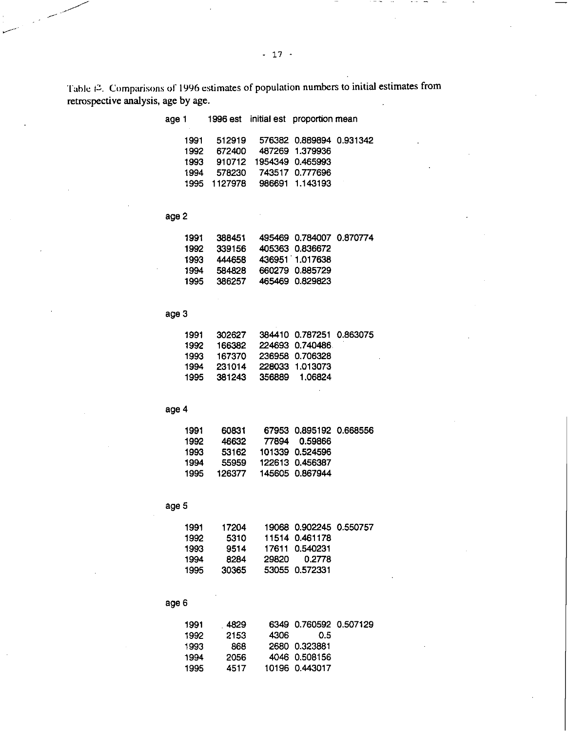Table 12. Comparisons of 1996 estimates of population numbers to initial estimates from retrospective analysis, age by age.

| age 1 |              |                  | 1996 est initial est proportion mean |  |
|-------|--------------|------------------|--------------------------------------|--|
| 1991  | 512919       |                  | 576382 0.889894 0.931342             |  |
| 1992  | 672400       |                  | 487269 1.379936                      |  |
| 1993  | 910712       | 1954349 0.465993 |                                      |  |
| 1994  | 578230       |                  | 743517 0.777696                      |  |
|       | 1995 1127978 |                  | 986691 1.143193                      |  |

# age 2

| 388451 |  |                                                                                                      |
|--------|--|------------------------------------------------------------------------------------------------------|
| 339156 |  |                                                                                                      |
| 444658 |  |                                                                                                      |
| 584828 |  |                                                                                                      |
| 386257 |  |                                                                                                      |
|        |  | 495469 0.784007 0.870774<br>405363 0.836672<br>436951 1.017638<br>660279 0.885729<br>465469 0.829823 |

# age 3

| 1991. | 302627  | 384410 0.787251 0.863075 |  |
|-------|---------|--------------------------|--|
| 1992  | 166382  | 224693 0.740486          |  |
| 1993. | 167370  | 236958 0.706328          |  |
| 1994  | 231014  | 228033 1.013073          |  |
| 1995  | -381243 | 356889 1.06824           |  |

# age 4

| 1991  | 60831  | 67953 0.895192 0.668556 |  |
|-------|--------|-------------------------|--|
| 1992. | 46632  | 77894 0.59866           |  |
| 1993  | 53162  | 101339 0.524596         |  |
| 1994  | 55959  | 122613 0.456387         |  |
| 1995  | 126377 | 145605 0.867944         |  |

# age 5

| 1991 | 17204 |       | 19068  0.902245  0.550757 |  |
|------|-------|-------|---------------------------|--|
| 1992 | 5310  |       | 11514 0.461178            |  |
| 1993 | 9514  |       | 17611  0.540231           |  |
| 1994 | 8284  | 29820 | 0.2778                    |  |
| 1995 | 30365 |       | 53055 0.572331            |  |

# age 6

| 1991 | 4829 |      | 6349 0.760592 0.507129 |  |
|------|------|------|------------------------|--|
| 1992 | 2153 | 4306 | 0.5                    |  |
| 1993 | 868  |      | 2680 0323881           |  |
| 1994 | 2056 |      | 4046 0.508156          |  |
| 1995 | 4517 |      | 10196  0.443017        |  |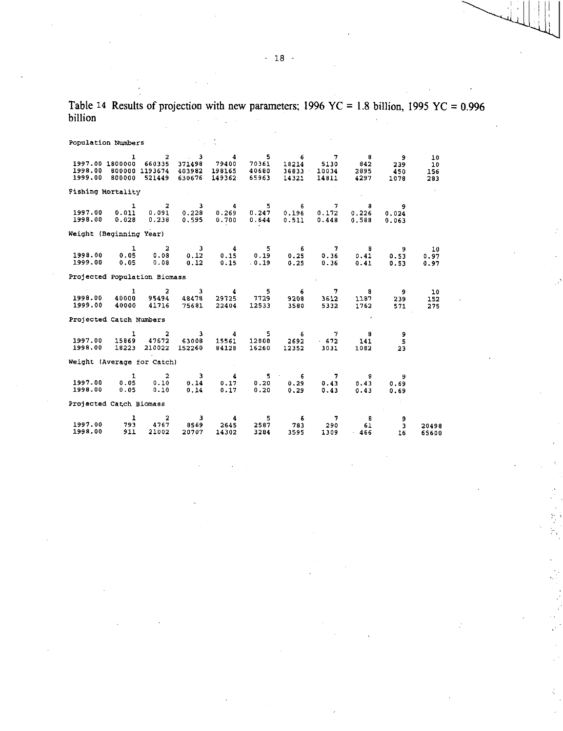Table 14 Results of projection with new parameters; 1996 YC = 1.8 billion, 1995 YC =  $0.996$ billion  $\mathbb{R}^2$ 

Population Numbers 1 2 3 4 5 6 7 8 9 10 1997.00 1800000 660335 371498 79400 70361 18214 5130 842 239 10<br>1998.00 800000 1193674 403982 198165 40680 36833 10034 2895 450 156 1998.00 800000 1193674 403982 198165 40680 36833 10034 2895 450 156 1999.00 800000 521449 630676 149362 65963 14321 14811 4297 1078 283 Fishing Mortality 1 2 3 4 5 6 7 8 9 1997.00 0.011 0.091 0.228 0.269 0.247 0.196 0.172 0.226 0.024 1998.00 0.028 0.238 0.595 0.700 0.644 0.511 0.448 0.588 0.063 Weight (Beginning Year) 1 2 3 4 5 6 7 8 9 10 1998.00 0.05 0.08 0.12 0.15 0.19 0.25 0.36 0.41 0.53 0.97 1999.00 0.05 0.08 0.12 0.15 0.19 0.25 0.36 0.41 0.53 0.97 Projected Population Biomass 1 2 3 4 5 6 7 8 9 10 1998.00 40000 95494 48478 29125 7729 9208 3612 1187 239 152 1999.00 40000 41716 75681 22404 12533 3580 5332 1762 571 275 Projected Catch Numbers 1 2 3 4 5 6 7 8 9 1997.00 15869 47672 63008 15561 12808 2692 672 141 5 1998.00 18223 210022 152260 84128 16260 12352 3031 1082 23 Weight (Average for Catch) 1 2 3 4 5 6 7 8 9 1997.00 0.05 0.10 0.14 0.17 0.20 0.29 0.43 0.43 0.69 1998.00 0.05 0.10 0.14 0.17 0.20 0.29 0.43 0.43 0.69 Projected Catch Biomass 1 2 3 4 5 6 7 8 9 1997.00 793 4767 8569 2645 2587 783 290 61 3 20498 1998.00 911 21002 20707 14302 3284 3595 1309 466 16 65600

> $\sum_{i=1}^{n} \frac{1}{2} \sum_{j=1}^{n} \frac{1}{2} \sum_{j=1}^{n} \frac{1}{2} \sum_{j=1}^{n} \frac{1}{2} \sum_{j=1}^{n} \frac{1}{2} \sum_{j=1}^{n} \frac{1}{2} \sum_{j=1}^{n} \frac{1}{2} \sum_{j=1}^{n} \frac{1}{2} \sum_{j=1}^{n} \frac{1}{2} \sum_{j=1}^{n} \frac{1}{2} \sum_{j=1}^{n} \frac{1}{2} \sum_{j=1}^{n} \frac{1}{2} \sum_{j=1}^{n} \frac{1}{2$ 'n.

- 18 -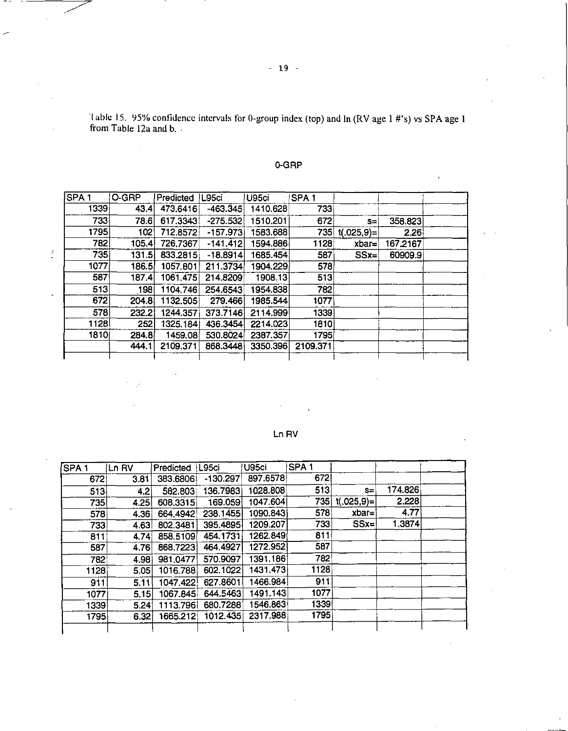!able 15. 95% confidence intervals for 0-group index (top) and In (RV age 1 #'s) vs SPA age 1 from Table 12a and b.

 $\ddot{\phantom{a}}$ 

 $\frac{1}{\epsilon}$ 

| <b>SPA1</b> | O-GRP | Predicted | L95ci      | U95ci     | SPA <sub>1</sub> |              |          |  |
|-------------|-------|-----------|------------|-----------|------------------|--------------|----------|--|
| 1339        | 43.4  | 473.6416  | $-463.345$ | 1410.628  | 7331             |              |          |  |
| 7331        | 78.6  | 617.3343  | $-275.532$ | 1510.201  | 672              | $s=$         | 358.823  |  |
| 1795        | 102   | 712.8572  | $-157.973$ | 1583.6881 | 735              | $t(.025,9)=$ | 2.26     |  |
| 782         | 105.4 | 726.7367  | $-141.412$ | 594.886   | 1128             | $xbar =$     | 167.2167 |  |
| 735         | 131.5 | 833.2815  | $-18.8914$ | 1685.454  | 587              | $SSx =$      | 60909.9  |  |
| 1077        | 186.5 | 1057.801  | 211.3734   | 904.229   | 578              |              |          |  |
| 587         | 187.4 | 1061.475  | 214.8209   | 1908.13   | 513              |              |          |  |
| 513         | 198   | 1104,746  | 254.6543   | 1954.838  | 782              |              |          |  |
| 672         | 204.8 | 1132.505  | 279.466    | 1985.544  | 1077             |              |          |  |
| 578         | 232.2 | 1244.357  | 373.7146   | 2114.999  | 1339             |              |          |  |
| 1128        | 252   | 1325.184  | 436.3454   | 2214.023  | 1810             |              |          |  |
| 1810        | 284.8 | 1459.08   | 530.8024   | 2387.357  | 1795             |              |          |  |
|             | 444.1 | 2109.371  | 868.3448   | 3350.396  | 2109.371         |              |          |  |

0-GRP

# Ln RV

| SPA <sub>1</sub> | Ln RV | Predicted   L95ci |            | U95ci    | SPA <sub>1</sub> |                |         |  |
|------------------|-------|-------------------|------------|----------|------------------|----------------|---------|--|
| 672              | 3.81  | 383.6806          | $-130.297$ | 897.6578 | 672              |                |         |  |
| 513              | 4.2   | 582.803           | 136.7983   | 1028.808 | 513              | $S =$          | 174.826 |  |
| 735              | 4.25  | 608.3315          | 169.059    | 1047.604 | 735              | $t(.025, 9) =$ | 2.228   |  |
| 578              | 4.36  | 664,4942          | 238.1455   | 1090.843 | 578              | $xbar=$        | 4.77    |  |
| 733              | 4.63  | 802.3481          | 395.4895   | 1209.207 | 733              | $SSx=$         | 1.3874  |  |
| 811              | 4.74  | 858,5109          | 454.1731   | 1262.849 | 811              |                |         |  |
| 587              | 4.76  | 868,7223          | 464.4927   | 1272.952 | 587              |                |         |  |
| 782              | 4.98  | 981.0477          | 570.9097   | 1391.186 | 782              |                |         |  |
| 1128             | 5.05  | 1016.788          | 602.1022   | 1431.473 | 1128             |                |         |  |
| 911              | 5.11  | 1047,422          | 627.8601   | 1466.984 | 911              |                |         |  |
| 1077             | 5.15  | 1067.845          | 644.5463   | 1491.143 | 1077             |                |         |  |
| 1339             | 5.24  | 1113.796          | 680.7288   | 1546.863 | 1339             |                |         |  |
| 1795             | 6.32  | 1665.212          | 1012.435   | 2317.988 | 1795             |                |         |  |
|                  |       |                   |            |          |                  |                |         |  |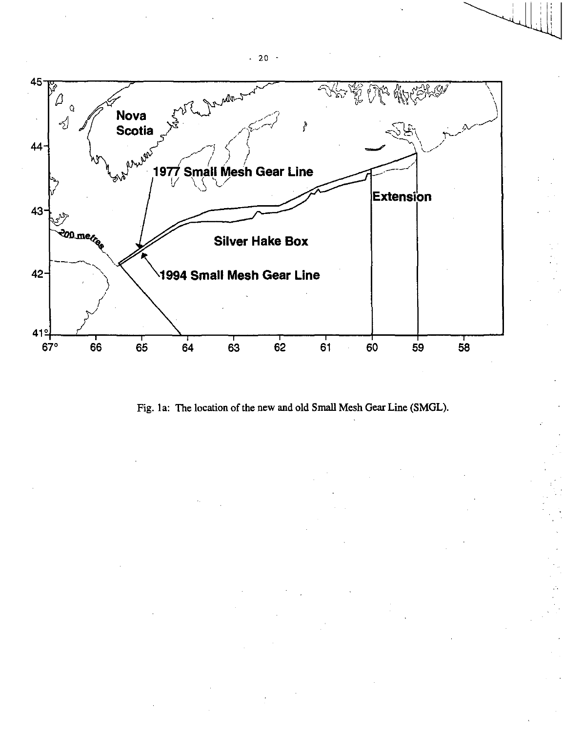

Fig. 1a: The location of the new and old Small Mesh Gear Line (SMGL).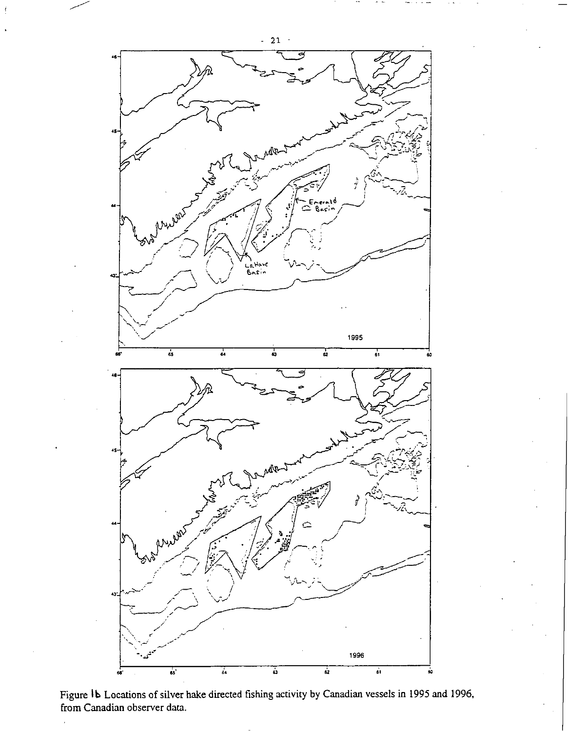

Figure 1b Locations of silver hake directed fishing activity by Canadian vessels in 1995 and 1996, from Canadian observer data.

 $-21$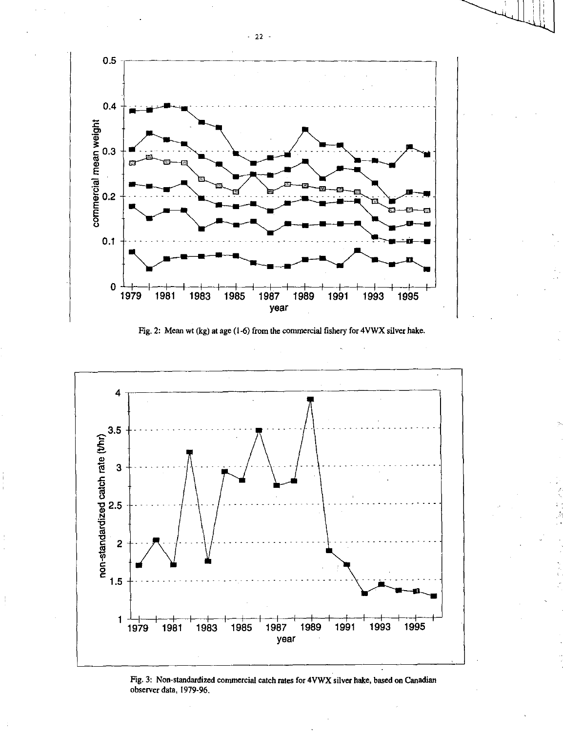





Fig. 3: Non-standardized commercial catch rates for 4VWX silver hake, based on Canadian observer data, 1979-96.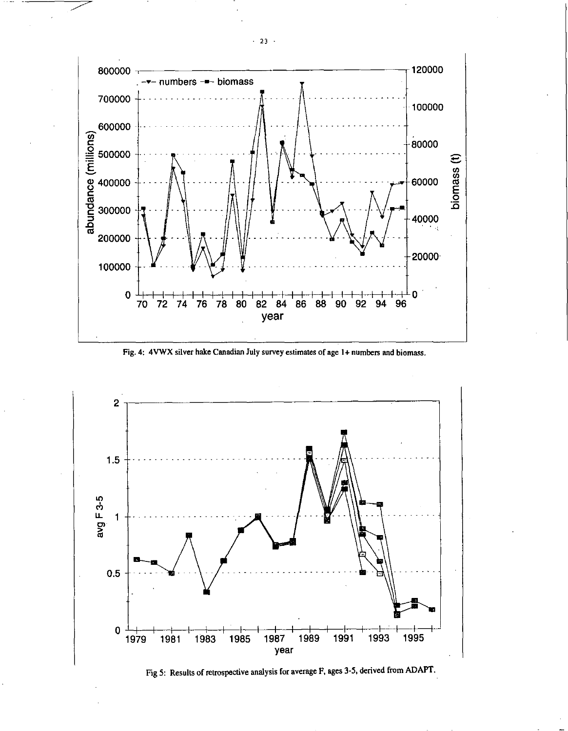

Fig. 4: 4VWX silver hake Canadian July survey estimates of age 1+ numbers and biomass.



Fig 5: Results of retrospective analysis for average F, ages 3-5, derived from ADAPT.

 $-23$   $-$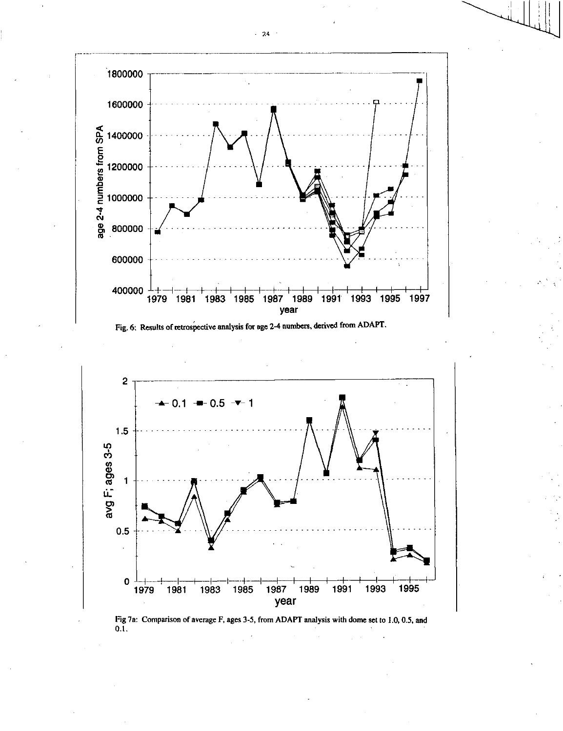





Fig 7a: Comparison of average F, ages 3-5, from ADAPT analysis with dome set to 1.0, 0.5, and  $0.1.$ 

 $\sim 24$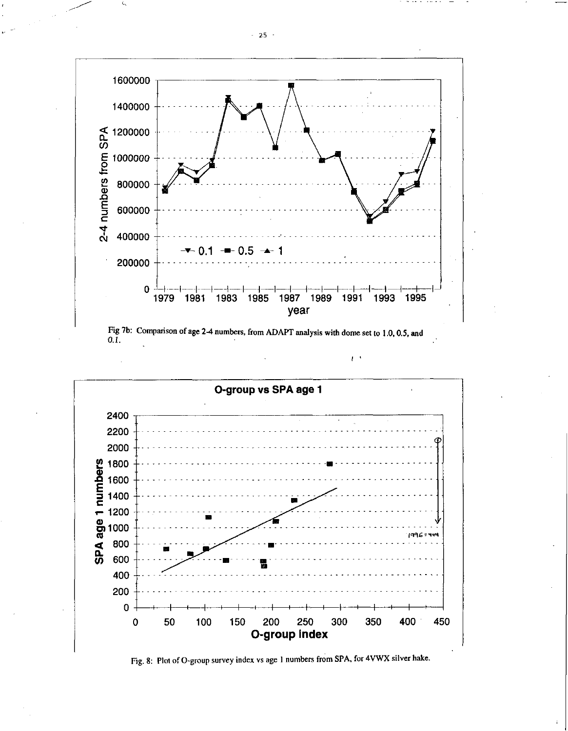



 $\mathfrak{t}$ .



Fig. 8: Plot of O-group survey index vs age 1 numbers from SPA, for 4VWX silver hake.

 $-25$   $-$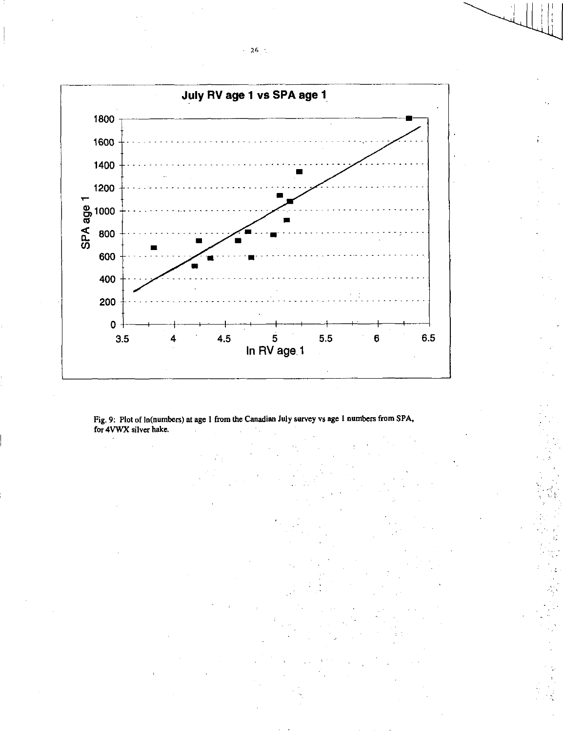

Fig. 9: Plot of In(numbers) at age 1 from the Canadian July survey vs age 1 numbers from SPA, for 4VWX silver hake.